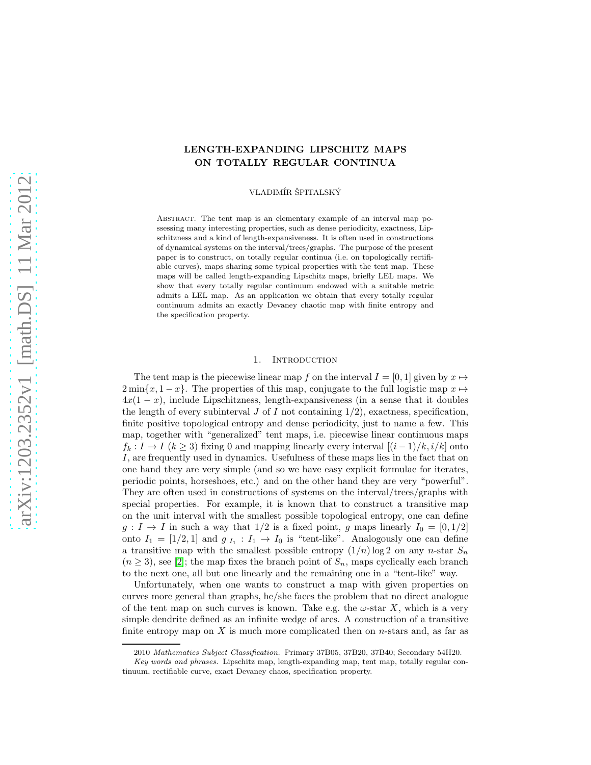# LENGTH-EXPANDING LIPSCHITZ MAPS ON TOTALLY REGULAR CONTINUA

VLADIMÍR ŠPITALSKÝ

ABSTRACT. The tent map is an elementary example of an interval map possessing many interesting properties, such as dense periodicity, exactness, Lipschitzness and a kind of length-expansiveness. It is often used in constructions of dynamical systems on the interval/trees/graphs. The purpose of the present paper is to construct, on totally regular continua (i.e. on topologically rectifiable curves), maps sharing some typical properties with the tent map. These maps will be called length-expanding Lipschitz maps, briefly LEL maps. We show that every totally regular continuum endowed with a suitable metric admits a LEL map. As an application we obtain that every totally regular continuum admits an exactly Devaney chaotic map with finite entropy and the specification property.

# 1. INTRODUCTION

The tent map is the piecewise linear map f on the interval  $I = [0, 1]$  given by  $x \mapsto$  $2 \min\{x, 1-x\}$ . The properties of this map, conjugate to the full logistic map  $x \mapsto$  $4x(1-x)$ , include Lipschitzness, length-expansiveness (in a sense that it doubles the length of every subinterval J of I not containing  $1/2$ , exactness, specification, finite positive topological entropy and dense periodicity, just to name a few. This map, together with "generalized" tent maps, i.e. piecewise linear continuous maps  $f_k: I \to I \ (k \geq 3)$  fixing 0 and mapping linearly every interval  $[(i-1)/k, i/k]$  onto I, are frequently used in dynamics. Usefulness of these maps lies in the fact that on one hand they are very simple (and so we have easy explicit formulae for iterates, periodic points, horseshoes, etc.) and on the other hand they are very "powerful". They are often used in constructions of systems on the interval/trees/graphs with special properties. For example, it is known that to construct a transitive map on the unit interval with the smallest possible topological entropy, one can define  $g: I \to I$  in such a way that  $1/2$  is a fixed point, g maps linearly  $I_0 = [0, 1/2]$ onto  $I_1 = [1/2, 1]$  and  $g|_{I_1} : I_1 \to I_0$  is "tent-like". Analogously one can define a transitive map with the smallest possible entropy  $(1/n)$  log 2 on any n-star  $S_n$  $(n \geq 3)$ , see [\[2\]](#page-26-0); the map fixes the branch point of  $S_n$ , maps cyclically each branch to the next one, all but one linearly and the remaining one in a "tent-like" way.

Unfortunately, when one wants to construct a map with given properties on curves more general than graphs, he/she faces the problem that no direct analogue of the tent map on such curves is known. Take e.g. the  $\omega$ -star X, which is a very simple dendrite defined as an infinite wedge of arcs. A construction of a transitive finite entropy map on  $X$  is much more complicated then on *n*-stars and, as far as

<sup>2010</sup> Mathematics Subject Classification. Primary 37B05, 37B20, 37B40; Secondary 54H20.

Key words and phrases. Lipschitz map, length-expanding map, tent map, totally regular continuum, rectifiable curve, exact Devaney chaos, specification property.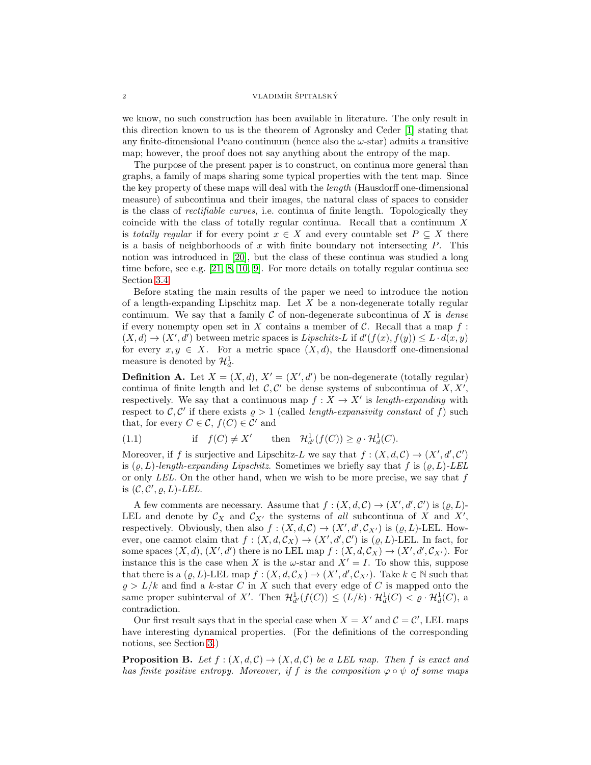#### $\begin{array}{lll} \text{VLADIMÍR} & \text{SPITALSK} \end{array}$

we know, no such construction has been available in literature. The only result in this direction known to us is the theorem of Agronsky and Ceder [\[1\]](#page-26-1) stating that any finite-dimensional Peano continuum (hence also the  $\omega$ -star) admits a transitive map; however, the proof does not say anything about the entropy of the map.

The purpose of the present paper is to construct, on continua more general than graphs, a family of maps sharing some typical properties with the tent map. Since the key property of these maps will deal with the length (Hausdorff one-dimensional measure) of subcontinua and their images, the natural class of spaces to consider is the class of rectifiable curves, i.e. continua of finite length. Topologically they coincide with the class of totally regular continua. Recall that a continuum X is totally regular if for every point  $x \in X$  and every countable set  $P \subseteq X$  there is a basis of neighborhoods of  $x$  with finite boundary not intersecting  $P$ . This notion was introduced in [\[20\]](#page-26-2), but the class of these continua was studied a long time before, see e.g. [\[21,](#page-26-3) [8,](#page-26-4) [10,](#page-26-5) [9\]](#page-26-6). For more details on totally regular continua see Section [3.4.](#page-7-0)

Before stating the main results of the paper we need to introduce the notion of a length-expanding Lipschitz map. Let  $X$  be a non-degenerate totally regular continuum. We say that a family  $\mathcal C$  of non-degenerate subcontinua of X is *dense* if every nonempty open set in X contains a member of  $\mathcal{C}$ . Recall that a map f:  $(X, d) \to (X', d')$  between metric spaces is Lipschitz-L if  $d'(f(x), f(y)) \leq L \cdot d(x, y)$ for every  $x, y \in X$ . For a metric space  $(X, d)$ , the Hausdorff one-dimensional measure is denoted by  $\mathcal{H}_d^1$ .

**Definition A.** Let  $X = (X, d)$ ,  $X' = (X', d')$  be non-degenerate (totally regular) continua of finite length and let  $\mathcal{C}, \mathcal{C}'$  be dense systems of subcontinua of  $X, X'$ , respectively. We say that a continuous map  $f: X \to X'$  is length-expanding with respect to C, C' if there exists  $\rho > 1$  (called *length-expansivity constant* of f) such that, for every  $C \in \mathcal{C}$ ,  $f(C) \in \mathcal{C}'$  and

(1.1) if 
$$
f(C) \neq X'
$$
 then  $\mathcal{H}_{d'}^1(f(C)) \geq \varrho \cdot \mathcal{H}_d^1(C)$ .

Moreover, if f is surjective and Lipschitz-L we say that  $f: (X, d, C) \to (X', d', C')$ is  $(\rho, L)$ -length-expanding Lipschitz. Sometimes we briefly say that f is  $(\rho, L)$ -LEL or only LEL. On the other hand, when we wish to be more precise, we say that  $f$ is  $(C, C', \varrho, L)$ -LEL.

A few comments are necessary. Assume that  $f : (X, d, C) \to (X', d', C')$  is  $(\varrho, L)$ -LEL and denote by  $C_X$  and  $C_{X'}$  the systems of all subcontinua of X and X', respectively. Obviously, then also  $f : (X, d, C) \to (X', d', C_{X'})$  is  $(\varrho, L)$ -LEL. However, one cannot claim that  $f:(X,d,\mathcal{C}_X)\to (X',d',\mathcal{C}')$  is  $(\varrho,L)\text{-LEL}$ . In fact, for some spaces  $(X, d), (X', d')$  there is no LEL map  $f : (X, d, \mathcal{C}_X) \to (X', d', \mathcal{C}_{X'})$ . For instance this is the case when X is the  $\omega$ -star and  $X' = I$ . To show this, suppose that there is a  $(\varrho, L)$ -LEL map  $f : (X, d, \mathcal{C}_X) \to (X', d', \mathcal{C}_{X'})$ . Take  $k \in \mathbb{N}$  such that  $\rho > L/k$  and find a k-star C in X such that every edge of C is mapped onto the same proper subinterval of X'. Then  $\mathcal{H}^1_{d'}(f(C)) \leq (L/k) \cdot \mathcal{H}^1_{d}(C) < \varrho \cdot \mathcal{H}^1_{d}(C)$ , a contradiction.

Our first result says that in the special case when  $X = X'$  and  $C = C'$ , LEL maps have interesting dynamical properties. (For the definitions of the corresponding notions, see Section [3.](#page-4-0))

<span id="page-1-0"></span>**Proposition B.** Let  $f : (X, d, \mathcal{C}) \to (X, d, \mathcal{C})$  be a LEL map. Then f is exact and has finite positive entropy. Moreover, if f is the composition  $\varphi \circ \psi$  of some maps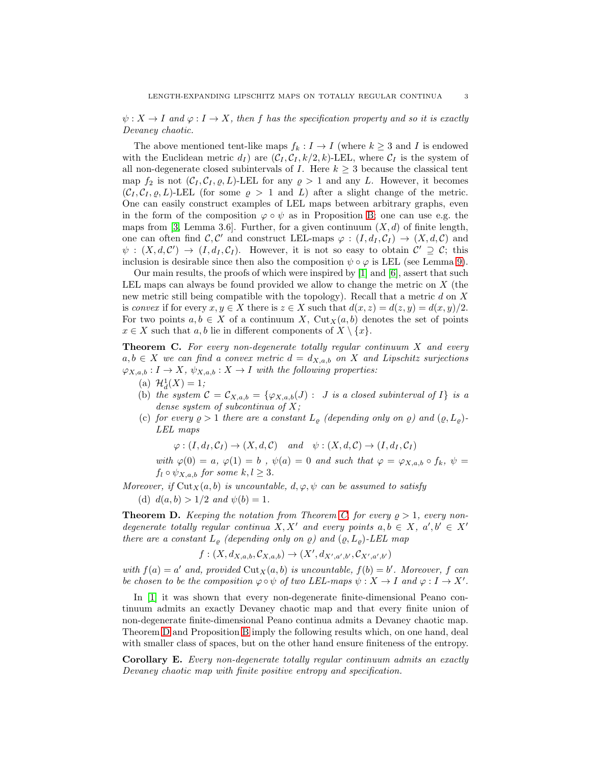$\psi: X \to I$  and  $\varphi: I \to X$ , then f has the specification property and so it is exactly Devaney chaotic.

The above mentioned tent-like maps  $f_k : I \to I$  (where  $k \geq 3$  and I is endowed with the Euclidean metric  $d_I$ ) are  $(\mathcal{C}_I, \mathcal{C}_I, k/2, k)$ -LEL, where  $\mathcal{C}_I$  is the system of all non-degenerate closed subintervals of  $I$ . Here  $k \geq 3$  because the classical tent map  $f_2$  is not  $(C_I, C_I, \varrho, L)$ -LEL for any  $\varrho > 1$  and any L. However, it becomes  $(C_I, C_I, \varrho, L)$ -LEL (for some  $\varrho > 1$  and L) after a slight change of the metric. One can easily construct examples of LEL maps between arbitrary graphs, even in the form of the composition  $\varphi \circ \psi$  as in Proposition [B;](#page-1-0) one can use e.g. the maps from [\[3,](#page-26-7) Lemma 3.6]. Further, for a given continuum  $(X, d)$  of finite length, one can often find  $\mathcal{C}, \mathcal{C}'$  and construct LEL-maps  $\varphi : (I, d_I, \mathcal{C}_I) \to (X, d, \mathcal{C})$  and  $\psi : (X, d, C') \to (I, d_I, C_I)$ . However, it is not so easy to obtain  $C' \supseteq C$ ; this inclusion is desirable since then also the composition  $\psi \circ \varphi$  is LEL (see Lemma [9\)](#page-10-0).

Our main results, the proofs of which were inspired by [\[1\]](#page-26-1) and [\[6\]](#page-26-8), assert that such LEL maps can always be found provided we allow to change the metric on X (the new metric still being compatible with the topology). Recall that a metric d on X is convex if for every  $x, y \in X$  there is  $z \in X$  such that  $d(x, z) = d(z, y) = d(x, y)/2$ . For two points  $a, b \in X$  of a continuum X, Cut<sub>X</sub> $(a, b)$  denotes the set of points  $x \in X$  such that a, b lie in different components of  $X \setminus \{x\}$ .

<span id="page-2-0"></span>**Theorem C.** For every non-degenerate totally regular continuum  $X$  and every  $a, b \in X$  we can find a convex metric  $d = d_{X,a,b}$  on X and Lipschitz surjections  $\varphi_{X,a,b}: I \to X$ ,  $\psi_{X,a,b}: X \to I$  with the following properties:

- (a)  $\mathcal{H}_d^1(X) = 1;$
- (b) the system  $C = C_{X,a,b} = {\varphi}_{X,a,b}(J)$ : *J* is a closed subinterval of *I*} is a dense system of subcontinua of  $X$ ;
- (c) for every  $\rho > 1$  there are a constant  $L_{\rho}$  (depending only on  $\rho$ ) and  $(\rho, L_{\rho})$ -LEL maps

 $\varphi: (I, d_I, C_I) \to (X, d, C)$  and  $\psi: (X, d, C) \to (I, d_I, C_I)$ 

with  $\varphi(0) = a, \varphi(1) = b$ ,  $\psi(a) = 0$  and such that  $\varphi = \varphi_{X,a,b} \circ f_k$ ,  $\psi =$  $f_l \circ \psi_{X,a,b}$  for some  $k, l \geq 3$ .

Moreover, if Cut<sub>X</sub>(a, b) is uncountable,  $d, \varphi, \psi$  can be assumed to satisfy

(d)  $d(a, b) > 1/2$  and  $\psi(b) = 1$ .

<span id="page-2-1"></span>**Theorem D.** Keeping the notation from Theorem [C,](#page-2-0) for every  $\rho > 1$ , every nondegenerate totally regular continua  $X, X'$  and every points  $a, b \in X$ ,  $a', b' \in X'$ there are a constant  $L_{\varrho}$  (depending only on  $\varrho$ ) and  $(\varrho, L_{\varrho})$ -LEL map

$$
f: (X, d_{X,a,b}, C_{X,a,b}) \to (X', d_{X',a',b'}, C_{X',a',b'})
$$

with  $f(a) = a'$  and, provided  $\text{Cut}_X(a, b)$  is uncountable,  $f(b) = b'$ . Moreover, f can be chosen to be the composition  $\varphi \circ \psi$  of two LEL-maps  $\psi : X \to I$  and  $\varphi : I \to X'$ .

In [\[1\]](#page-26-1) it was shown that every non-degenerate finite-dimensional Peano continuum admits an exactly Devaney chaotic map and that every finite union of non-degenerate finite-dimensional Peano continua admits a Devaney chaotic map. Theorem [D](#page-2-1) and Proposition [B](#page-1-0) imply the following results which, on one hand, deal with smaller class of spaces, but on the other hand ensure finiteness of the entropy.

<span id="page-2-2"></span>Corollary E. Every non-degenerate totally regular continuum admits an exactly Devaney chaotic map with finite positive entropy and specification.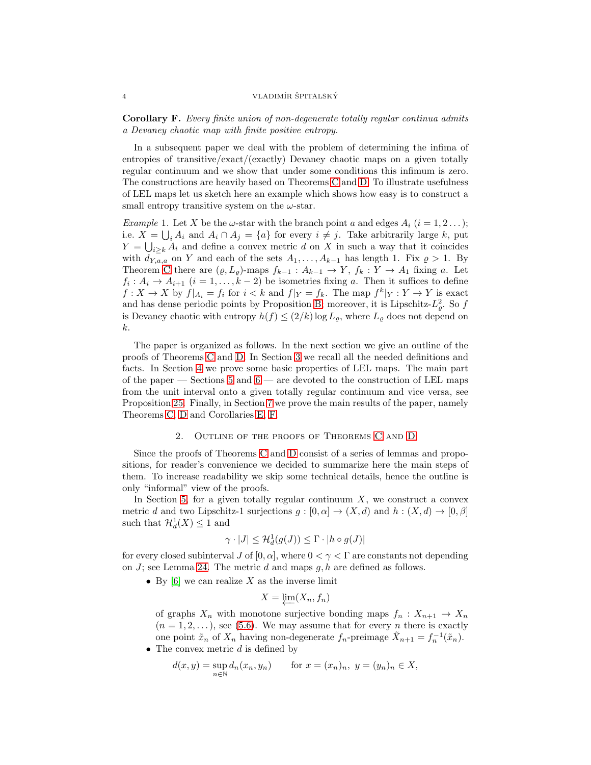## 4 VLADIMÍR ŠPITALSKÝ

<span id="page-3-0"></span>Corollary F. Every finite union of non-degenerate totally regular continua admits a Devaney chaotic map with finite positive entropy.

In a subsequent paper we deal with the problem of determining the infima of entropies of transitive/exact/(exactly) Devaney chaotic maps on a given totally regular continuum and we show that under some conditions this infimum is zero. The constructions are heavily based on Theorems [C](#page-2-0) and [D.](#page-2-1) To illustrate usefulness of LEL maps let us sketch here an example which shows how easy is to construct a small entropy transitive system on the  $\omega$ -star.

*Example 1.* Let X be the  $\omega$ -star with the branch point a and edges  $A_i$  ( $i = 1, 2...$ ); i.e.  $X = \bigcup_i A_i$  and  $A_i \cap A_j = \{a\}$  for every  $i \neq j$ . Take arbitrarily large k, put  $Y = \bigcup_{i \geq k} A_i$  and define a convex metric d on X in such a way that it coincides with  $d_{Y,a,a}$  on Y and each of the sets  $A_1, \ldots, A_{k-1}$  has length 1. Fix  $\varrho > 1$ . By Theorem [C](#page-2-0) there are  $(\varrho, L_{\varrho})$ -maps  $f_{k-1} : A_{k-1} \to Y$ ,  $f_k : Y \to A_1$  fixing a. Let  $f_i: A_i \to A_{i+1}$   $(i = 1, ..., k-2)$  be isometries fixing a. Then it suffices to define  $f: X \to X$  by  $f|_{A_i} = f_i$  for  $i < k$  and  $f|_Y = f_k$ . The map  $f^k|_Y : Y \to Y$  is exact and has dense periodic points by Proposition [B;](#page-1-0) moreover, it is Lipschitz- $L^2_{\varrho}$ . So f is Devaney chaotic with entropy  $h(f) \leq (2/k) \log L_{\varrho}$ , where  $L_{\varrho}$  does not depend on k.

The paper is organized as follows. In the next section we give an outline of the proofs of Theorems [C](#page-2-0) and [D.](#page-2-1) In Section [3](#page-4-0) we recall all the needed definitions and facts. In Section [4](#page-9-0) we prove some basic properties of LEL maps. The main part of the paper — Sections [5](#page-10-1) and  $6$  — are devoted to the construction of LEL maps from the unit interval onto a given totally regular continuum and vice versa, see Proposition [25.](#page-22-1) Finally, in Section [7](#page-24-0) we prove the main results of the paper, namely Theorems [C,](#page-2-0) [D](#page-2-1) and Corollaries [E,](#page-2-2) [F.](#page-3-0)

# 2. Outline of the proofs of Theorems [C](#page-2-0) and [D](#page-2-1)

Since the proofs of Theorems [C](#page-2-0) and [D](#page-2-1) consist of a series of lemmas and propositions, for reader's convenience we decided to summarize here the main steps of them. To increase readability we skip some technical details, hence the outline is only "informal" view of the proofs.

In Section [5,](#page-10-1) for a given totally regular continuum  $X$ , we construct a convex metric d and two Lipschitz-1 surjections  $g : [0, \alpha] \to (X, d)$  and  $h : (X, d) \to [0, \beta]$ such that  $\mathcal{H}_d^1(X) \leq 1$  and

$$
\gamma \cdot |J| \le \mathcal{H}_d^1(g(J)) \le \Gamma \cdot |h \circ g(J)|
$$

for every closed subinterval J of  $[0, \alpha]$ , where  $0 < \gamma < \Gamma$  are constants not depending on  $J$ ; see Lemma [24.](#page-21-0) The metric  $d$  and maps  $g, h$  are defined as follows.

• By  $[6]$  we can realize X as the inverse limit

$$
X = \underleftarrow{\lim}(X_n, f_n)
$$

of graphs  $X_n$  with monotone surjective bonding maps  $f_n: X_{n+1} \to X_n$  $(n = 1, 2, \ldots)$ , see [\(5.6\)](#page-12-0). We may assume that for every *n* there is exactly one point  $\tilde{x}_n$  of  $X_n$  having non-degenerate  $f_n$ -preimage  $\tilde{X}_{n+1} = f_n^{-1}(\tilde{x}_n)$ . • The convex metric  $d$  is defined by

$$
d(x,y) = \sup_{n \in \mathbb{N}} d_n(x_n, y_n) \quad \text{for } x = (x_n)_n, \ y = (y_n)_n \in X,
$$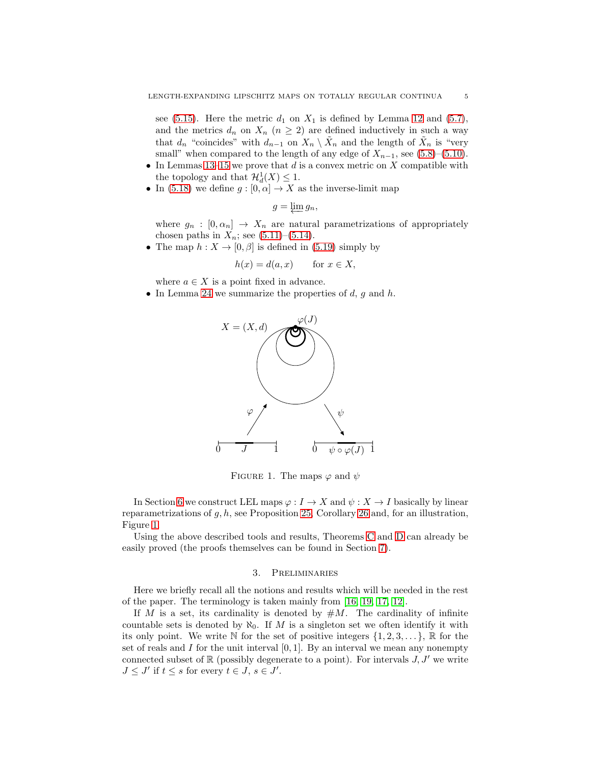see [\(5.15\)](#page-14-0). Here the metric  $d_1$  on  $X_1$  is defined by Lemma [12](#page-11-0) and [\(5.7\)](#page-12-1), and the metrics  $d_n$  on  $X_n$   $(n \geq 2)$  are defined inductively in such a way that  $d_n$  "coincides" with  $d_{n-1}$  on  $X_n \setminus \tilde{X}_n$  and the length of  $\tilde{X}_n$  is "very small" when compared to the length of any edge of  $X_{n-1}$ , see [\(5.8\)](#page-13-0)–[\(5.10\)](#page-13-1).

- In Lemmas [13](#page-14-1)[–15](#page-16-0) we prove that  $d$  is a convex metric on  $X$  compatible with the topology and that  $\mathcal{H}_d^1(X) \leq 1$ .
- In [\(5.18\)](#page-14-2) we define  $g : [0, \alpha] \to X$  as the inverse-limit map

$$
g=\varprojlim g_n,
$$

where  $g_n : [0, \alpha_n] \rightarrow X_n$  are natural parametrizations of appropriately chosen paths in  $X_n$ ; see [\(5.11\)](#page-13-2)–[\(5.14\)](#page-13-3).

• The map  $h: X \to [0, \beta]$  is defined in [\(5.19\)](#page-14-3) simply by

$$
h(x) = d(a, x) \quad \text{for } x \in X,
$$

where  $a \in X$  is a point fixed in advance.

• In Lemma [24](#page-21-0) we summarize the properties of  $d, q$  and  $h$ .



<span id="page-4-1"></span>FIGURE 1. The maps  $\varphi$  and  $\psi$ 

In Section [6](#page-22-0) we construct LEL maps  $\varphi: I \to X$  and  $\psi: X \to I$  basically by linear reparametrizations of  $g, h$ , see Proposition [25,](#page-22-1) Corollary [26](#page-23-0) and, for an illustration, Figure [1.](#page-4-1)

<span id="page-4-0"></span>Using the above described tools and results, Theorems [C](#page-2-0) and [D](#page-2-1) can already be easily proved (the proofs themselves can be found in Section [7\)](#page-24-0).

## 3. Preliminaries

Here we briefly recall all the notions and results which will be needed in the rest of the paper. The terminology is taken mainly from [\[16,](#page-26-9) [19,](#page-26-10) [17,](#page-26-11) [12\]](#page-26-12).

If M is a set, its cardinality is denoted by  $\#M$ . The cardinality of infinite countable sets is denoted by  $\aleph_0$ . If M is a singleton set we often identify it with its only point. We write N for the set of positive integers  $\{1, 2, 3, \ldots\}$ , R for the set of reals and  $I$  for the unit interval  $[0, 1]$ . By an interval we mean any nonempty connected subset of  $\mathbb R$  (possibly degenerate to a point). For intervals  $J, J'$  we write  $J \leq J'$  if  $t \leq s$  for every  $t \in J$ ,  $s \in J'$ .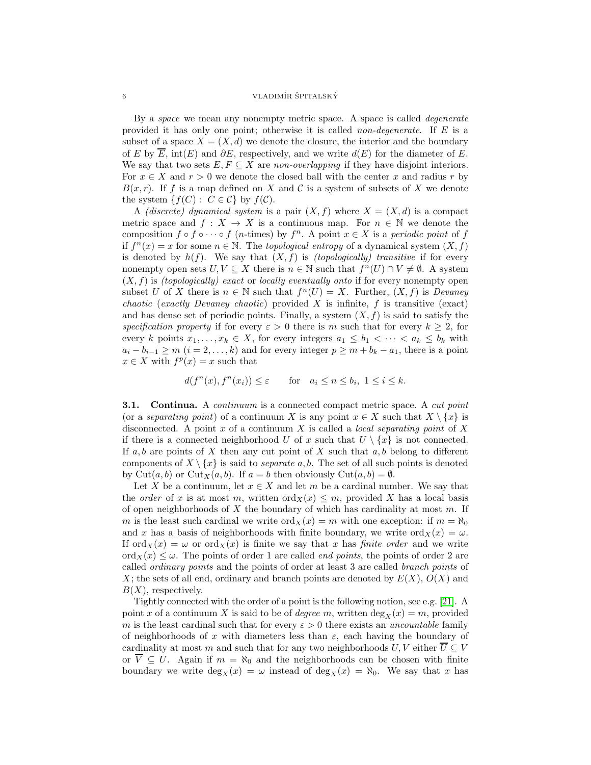## 6  $VLADIM$ ÍR ŠPITALSKÝ

By a *space* we mean any nonempty metric space. A space is called *degenerate* provided it has only one point; otherwise it is called non-degenerate. If E is a subset of a space  $X = (X, d)$  we denote the closure, the interior and the boundary of E by  $\overline{E}$ , int(E) and  $\partial E$ , respectively, and we write  $d(E)$  for the diameter of E. We say that two sets  $E, F \subseteq X$  are non-overlapping if they have disjoint interiors. For  $x \in X$  and  $r > 0$  we denote the closed ball with the center x and radius r by  $B(x, r)$ . If f is a map defined on X and C is a system of subsets of X we denote the system  $\{f(C): C \in \mathcal{C}\}\$  by  $f(\mathcal{C})$ .

A *(discrete)* dynamical system is a pair  $(X, f)$  where  $X = (X, d)$  is a compact metric space and  $f: X \to X$  is a continuous map. For  $n \in \mathbb{N}$  we denote the composition  $f \circ f \circ \cdots \circ f$  (*n*-times) by  $f^n$ . A point  $x \in X$  is a *periodic point* of f if  $f^{n}(x) = x$  for some  $n \in \mathbb{N}$ . The *topological entropy* of a dynamical system  $(X, f)$ is denoted by  $h(f)$ . We say that  $(X, f)$  is *(topologically) transitive* if for every nonempty open sets  $U, V \subseteq X$  there is  $n \in \mathbb{N}$  such that  $f^{n}(U) \cap V \neq \emptyset$ . A system  $(X, f)$  is (topologically) exact or locally eventually onto if for every nonempty open subset U of X there is  $n \in \mathbb{N}$  such that  $f^{n}(U) = X$ . Further,  $(X, f)$  is Devaney chaotic (exactly Devaney chaotic) provided X is infinite,  $f$  is transitive (exact) and has dense set of periodic points. Finally, a system  $(X, f)$  is said to satisfy the specification property if for every  $\varepsilon > 0$  there is m such that for every  $k \geq 2$ , for every k points  $x_1, \ldots, x_k \in X$ , for every integers  $a_1 \leq b_1 < \cdots < a_k \leq b_k$  with  $a_i - b_{i-1} \ge m$   $(i = 2, ..., k)$  and for every integer  $p \ge m + b_k - a_1$ , there is a point  $x \in X$  with  $f^p(x) = x$  such that

$$
d(f^{n}(x), f^{n}(x_{i})) \le \varepsilon \quad \text{for} \quad a_{i} \le n \le b_{i}, \ 1 \le i \le k.
$$

**3.1.** Continua. A *continuum* is a connected compact metric space. A *cut point* (or a separating point) of a continuum X is any point  $x \in X$  such that  $X \setminus \{x\}$  is disconnected. A point x of a continuum X is called a *local separating point* of X if there is a connected neighborhood U of x such that  $U \setminus \{x\}$  is not connected. If  $a, b$  are points of X then any cut point of X such that  $a, b$  belong to different components of  $X \setminus \{x\}$  is said to *separate a, b.* The set of all such points is denoted by Cut(a, b) or Cut<sub>X</sub>(a, b). If  $a = b$  then obviously Cut(a, b) =  $\emptyset$ .

Let X be a continuum, let  $x \in X$  and let m be a cardinal number. We say that the *order* of x is at most m, written  $\text{ord}_X(x) \leq m$ , provided X has a local basis of open neighborhoods of  $X$  the boundary of which has cardinality at most  $m$ . If m is the least such cardinal we write  $\text{ord}_X(x) = m$  with one exception: if  $m = \aleph_0$ and x has a basis of neighborhoods with finite boundary, we write  $\text{ord}_X(x) = \omega$ . If  $\text{ord}_X(x) = \omega$  or  $\text{ord}_X(x)$  is finite we say that x has *finite order* and we write  $\text{ord}_X(x) \leq \omega$ . The points of order 1 are called *end points*, the points of order 2 are called ordinary points and the points of order at least 3 are called branch points of X; the sets of all end, ordinary and branch points are denoted by  $E(X)$ ,  $O(X)$  and  $B(X)$ , respectively.

Tightly connected with the order of a point is the following notion, see e.g. [\[21\]](#page-26-3). A point x of a continuum X is said to be of *degree m*, written  $\deg_X(x) = m$ , provided m is the least cardinal such that for every  $\varepsilon > 0$  there exists an uncountable family of neighborhoods of x with diameters less than  $\varepsilon$ , each having the boundary of cardinality at most m and such that for any two neighborhoods  $U, V$  either  $\overline{U} \subseteq V$ or  $\overline{V} \subseteq U$ . Again if  $m = \aleph_0$  and the neighborhoods can be chosen with finite boundary we write  $\deg_X(x) = \omega$  instead of  $\deg_X(x) = \aleph_0$ . We say that x has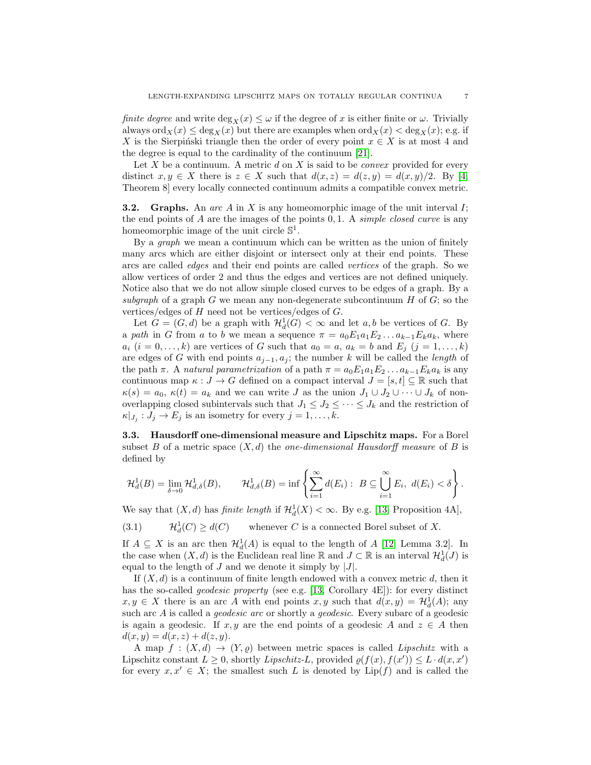finite degree and write deg<sub>X</sub>(x)  $\leq \omega$  if the degree of x is either finite or  $\omega$ . Trivially always  $\text{ord}_X(x) \leq \text{deg}_X(x)$  but there are examples when  $\text{ord}_X(x) < \text{deg}_X(x)$ ; e.g. if X is the Sierpinski triangle then the order of every point  $x \in X$  is at most 4 and the degree is equal to the cardinality of the continuum [\[21\]](#page-26-3).

Let  $X$  be a continuum. A metric  $d$  on  $X$  is said to be *convex* provided for every distinct  $x, y \in X$  there is  $z \in X$  such that  $d(x, z) = d(z, y) = d(x, y)/2$ . By [\[4,](#page-26-13) Theorem 8] every locally connected continuum admits a compatible convex metric.

**3.2.** Graphs. An arc A in X is any homeomorphic image of the unit interval  $I$ ; the end points of A are the images of the points  $0, 1$ . A *simple closed curve* is any homeomorphic image of the unit circle  $\mathbb{S}^1$ .

By a *graph* we mean a continuum which can be written as the union of finitely many arcs which are either disjoint or intersect only at their end points. These arcs are called edges and their end points are called vertices of the graph. So we allow vertices of order 2 and thus the edges and vertices are not defined uniquely. Notice also that we do not allow simple closed curves to be edges of a graph. By a subgraph of a graph G we mean any non-degenerate subcontinuum  $H$  of  $G$ ; so the vertices/edges of  $H$  need not be vertices/edges of  $G$ .

Let  $G = (G, d)$  be a graph with  $\mathcal{H}_d^1(G) < \infty$  and let  $a, b$  be vertices of G. By a path in G from a to b we mean a sequence  $\pi = a_0 E_1 a_1 E_2 \dots a_{k-1} E_k a_k$ , where  $a_i$   $(i = 0, \ldots, k)$  are vertices of G such that  $a_0 = a$ ,  $a_k = b$  and  $E_j$   $(j = 1, \ldots, k)$ are edges of G with end points  $a_{j-1}, a_j$ ; the number k will be called the *length* of the path  $\pi$ . A natural parametrization of a path  $\pi = a_0 E_1 a_1 E_2 \ldots a_{k-1} E_k a_k$  is any continuous map  $\kappa : J \to G$  defined on a compact interval  $J = [s, t] \subseteq \mathbb{R}$  such that  $\kappa(s) = a_0, \, \kappa(t) = a_k$  and we can write J as the union  $J_1 \cup J_2 \cup \cdots \cup J_k$  of nonoverlapping closed subintervals such that  $J_1 \leq J_2 \leq \cdots \leq J_k$  and the restriction of  $\kappa|_{J_j}: J_j \to E_j$  is an isometry for every  $j = 1, \ldots, k$ .

3.3. Hausdorff one-dimensional measure and Lipschitz maps. For a Borel subset B of a metric space  $(X, d)$  the *one-dimensional Hausdorff measure* of B is defined by

$$
\mathcal{H}_d^1(B) = \lim_{\delta \to 0} \mathcal{H}_{d,\delta}^1(B), \qquad \mathcal{H}_{d,\delta}^1(B) = \inf \left\{ \sum_{i=1}^\infty d(E_i) : B \subseteq \bigcup_{i=1}^\infty E_i, \ d(E_i) < \delta \right\}.
$$

We say that  $(X, d)$  has *finite length* if  $\mathcal{H}_d^1(X) < \infty$ . By e.g. [\[13,](#page-26-14) Proposition 4A],

 $(3.1)$  $\mathcal{H}_d^1(C) > d(C)$ whenever  $C$  is a connected Borel subset of  $X$ .

If  $A \subseteq X$  is an arc then  $\mathcal{H}_d^1(A)$  is equal to the length of A [\[12,](#page-26-12) Lemma 3.2]. In the case when  $(X, d)$  is the Euclidean real line R and  $J \subset \mathbb{R}$  is an interval  $\mathcal{H}_d^1(J)$  is equal to the length of  $J$  and we denote it simply by  $|J|$ .

If  $(X, d)$  is a continuum of finite length endowed with a convex metric d, then it has the so-called *geodesic property* (see e.g. [\[13,](#page-26-14) Corollary 4E]): for every distinct  $x, y \in X$  there is an arc A with end points  $x, y$  such that  $d(x, y) = \mathcal{H}_d^1(A)$ ; any such arc A is called a geodesic arc or shortly a geodesic. Every subarc of a geodesic is again a geodesic. If x, y are the end points of a geodesic A and  $z \in A$  then  $d(x, y) = d(x, z) + d(z, y).$ 

A map  $f : (X, d) \to (Y, \varrho)$  between metric spaces is called *Lipschitz* with a Lipschitz constant  $L \geq 0$ , shortly Lipschitz-L, provided  $\varrho(f(x), f(x')) \leq L \cdot d(x, x')$ for every  $x, x' \in X$ ; the smallest such L is denoted by  $Lip(f)$  and is called the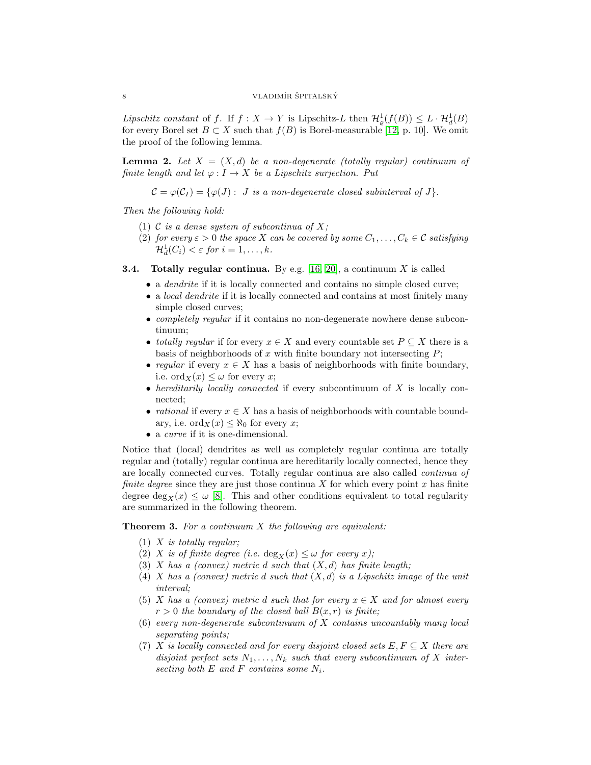## 8  $VLADIMfR$  ŠPITALSKÝ

Lipschitz constant of f. If  $f: X \to Y$  is Lipschitz-L then  $\mathcal{H}^1_\varrho(f(B)) \leq L \cdot \mathcal{H}^1_d(B)$ for every Borel set  $B \subset X$  such that  $f(B)$  is Borel-measurable [\[12,](#page-26-12) p. 10]. We omit the proof of the following lemma.

<span id="page-7-1"></span>**Lemma 2.** Let  $X = (X, d)$  be a non-degenerate (totally regular) continuum of finite length and let  $\varphi: I \to X$  be a Lipschitz surjection. Put

 $\mathcal{C} = \varphi(\mathcal{C}_I) = {\varphi(J) : J \text{ is a non-degenerate closed subinterval of } J}.$ 

Then the following hold:

- (1) C is a dense system of subcontinua of X;
- (2) for every  $\varepsilon > 0$  the space X can be covered by some  $C_1, \ldots, C_k \in \mathcal{C}$  satisfying  $\mathcal{H}_d^1(C_i) < \varepsilon$  for  $i = 1, \ldots, k$ .
- <span id="page-7-0"></span>**3.4.** Totally regular continua. By e.g.  $[16, 20]$  $[16, 20]$ , a continuum X is called
	- a *dendrite* if it is locally connected and contains no simple closed curve;
	- a *local dendrite* if it is locally connected and contains at most finitely many simple closed curves;
	- *completely regular* if it contains no non-degenerate nowhere dense subcontinuum;
	- totally regular if for every  $x \in X$  and every countable set  $P \subseteq X$  there is a basis of neighborhoods of  $x$  with finite boundary not intersecting  $P$ ;
	- regular if every  $x \in X$  has a basis of neighborhoods with finite boundary, i.e. ord $_X(x) \leq \omega$  for every x;
	- hereditarily locally connected if every subcontinuum of  $X$  is locally connected;
	- rational if every  $x \in X$  has a basis of neighborhoods with countable boundary, i.e. ord  $x(x) \leq \aleph_0$  for every x;
	- a curve if it is one-dimensional.

Notice that (local) dendrites as well as completely regular continua are totally regular and (totally) regular continua are hereditarily locally connected, hence they are locally connected curves. Totally regular continua are also called continua of finite degree since they are just those continua  $X$  for which every point  $x$  has finite degree deg<sub>X</sub>(x)  $\leq \omega$  [\[8\]](#page-26-4). This and other conditions equivalent to total regularity are summarized in the following theorem.

**Theorem 3.** For a continuum  $X$  the following are equivalent:

- $(1)$  X is totally regular;
- (2) X is of finite degree (i.e.  $\deg_X(x) \leq \omega$  for every x);
- (3) X has a (convex) metric d such that  $(X, d)$  has finite length;
- (4) X has a (convex) metric d such that  $(X, d)$  is a Lipschitz image of the unit interval;
- (5) X has a (convex) metric d such that for every  $x \in X$  and for almost every  $r > 0$  the boundary of the closed ball  $B(x, r)$  is finite;
- (6) every non-degenerate subcontinuum of  $X$  contains uncountably many local separating points;
- (7) X is locally connected and for every disjoint closed sets  $E, F \subseteq X$  there are disjoint perfect sets  $N_1, \ldots, N_k$  such that every subcontinuum of X intersecting both  $E$  and  $F$  contains some  $N_i$ .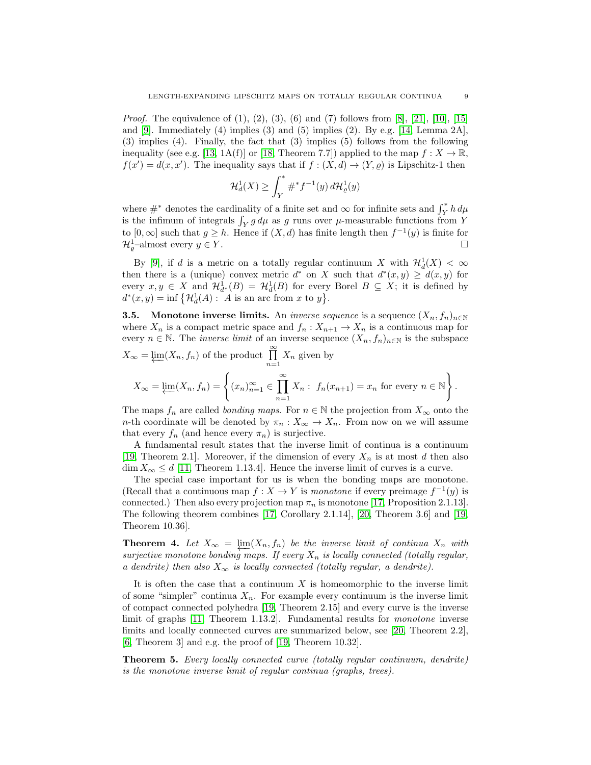*Proof.* The equivalence of  $(1), (2), (3), (6)$  and  $(7)$  follows from [\[8\]](#page-26-4), [\[21\]](#page-26-3), [\[10\]](#page-26-5), [\[15\]](#page-26-15) and  $[9]$ . Immediately  $(4)$  implies  $(3)$  and  $(5)$  implies  $(2)$ . By e.g.  $[14]$ , Lemma  $2A$ , (3) implies (4). Finally, the fact that (3) implies (5) follows from the following inequality (see e.g. [\[13,](#page-26-14) 1A(f)] or [\[18,](#page-26-17) Theorem 7.7]) applied to the map  $f: X \to \mathbb{R}$ ,  $f(x') = d(x, x')$ . The inequality says that if  $f : (X, d) \to (Y, \varrho)$  is Lipschitz-1 then

$$
\mathcal{H}_d^1(X) \ge \int_Y^* \#^* f^{-1}(y) d\mathcal{H}_\varrho^1(y)
$$

where  $\#^*$  denotes the cardinality of a finite set and  $\infty$  for infinite sets and  $\int_Y^* h d\mu$ is the infimum of integrals  $\int_Y g d\mu$  as g runs over  $\mu$ -measurable functions from Y to  $[0, \infty]$  such that  $g \geq h$ . Hence if  $(X, d)$  has finite length then  $f^{-1}(y)$  is finite for  $\mathcal{H}_\varrho^1$ -almost every  $y \in Y$ .

By [\[9\]](#page-26-6), if d is a metric on a totally regular continuum X with  $\mathcal{H}_d^1(X) < \infty$ then there is a (unique) convex metric  $d^*$  on X such that  $d^*(x, y) \geq d(x, y)$  for every  $x, y \in X$  and  $\mathcal{H}^1_{d^*}(B) = \mathcal{H}^1_d(B)$  for every Borel  $B \subseteq X$ ; it is defined by  $d^*(x, y) = \inf \{ \mathcal{H}_d^1(A) : A \text{ is an arc from } x \text{ to } y \}.$ 

**3.5.** Monotone inverse limits. An *inverse sequence* is a sequence  $(X_n, f_n)_{n \in \mathbb{N}}$ where  $X_n$  is a compact metric space and  $f_n: X_{n+1} \to X_n$  is a continuous map for every  $n \in \mathbb{N}$ . The *inverse limit* of an inverse sequence  $(X_n, f_n)_{n \in \mathbb{N}}$  is the subspace  $X_{\infty} = \varprojlim(X_n, f_n)$  of the product  $\prod_{n=1}^{\infty} X_n$  given by

$$
X_{\infty} = \underleftarrow{\lim}_{n}(X_n, f_n) = \left\{ (x_n)_{n=1}^{\infty} \in \prod_{n=1}^{\infty} X_n : f_n(x_{n+1}) = x_n \text{ for every } n \in \mathbb{N} \right\}.
$$

The maps  $f_n$  are called *bonding maps*. For  $n \in \mathbb{N}$  the projection from  $X_\infty$  onto the n-th coordinate will be denoted by  $\pi_n : X_\infty \to X_n$ . From now on we will assume that every  $f_n$  (and hence every  $\pi_n$ ) is surjective.

A fundamental result states that the inverse limit of continua is a continuum [\[19,](#page-26-10) Theorem 2.1]. Moreover, if the dimension of every  $X_n$  is at most d then also  $\dim X_{\infty} \leq d$  [\[11,](#page-26-18) Theorem 1.13.4]. Hence the inverse limit of curves is a curve.

The special case important for us is when the bonding maps are monotone. (Recall that a continuous map  $f: X \to Y$  is monotone if every preimage  $f^{-1}(y)$  is connected.) Then also every projection map  $\pi_n$  is monotone [\[17,](#page-26-11) Proposition 2.1.13]. The following theorem combines [\[17,](#page-26-11) Corollary 2.1.14], [\[20,](#page-26-2) Theorem 3.6] and [\[19,](#page-26-10) Theorem 10.36].

<span id="page-8-0"></span>**Theorem 4.** Let  $X_{\infty} = \varprojlim(X_n, f_n)$  be the inverse limit of continua  $X_n$  with surjective monotone bonding maps. If every  $X_n$  is locally connected (totally regular, a dendrite) then also  $X_{\infty}$  is locally connected (totally regular, a dendrite).

It is often the case that a continuum  $X$  is homeomorphic to the inverse limit of some "simpler" continua  $X_n$ . For example every continuum is the inverse limit of compact connected polyhedra [\[19,](#page-26-10) Theorem 2.15] and every curve is the inverse limit of graphs [\[11,](#page-26-18) Theorem 1.13.2]. Fundamental results for monotone inverse limits and locally connected curves are summarized below, see [\[20,](#page-26-2) Theorem 2.2], [\[6,](#page-26-8) Theorem 3] and e.g. the proof of [\[19,](#page-26-10) Theorem 10.32].

Theorem 5. Every locally connected curve (totally regular continuum, dendrite) is the monotone inverse limit of regular continua (graphs, trees).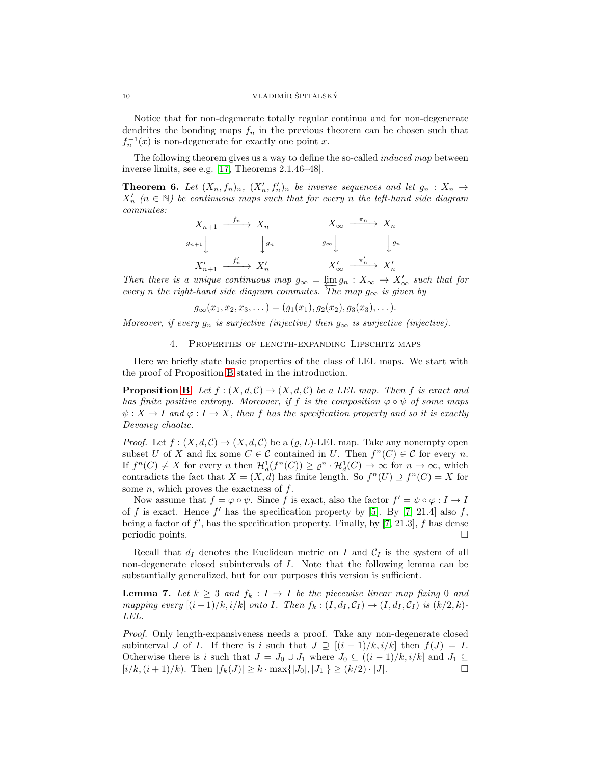Notice that for non-degenerate totally regular continua and for non-degenerate dendrites the bonding maps  $f_n$  in the previous theorem can be chosen such that  $f_n^{-1}(x)$  is non-degenerate for exactly one point x.

The following theorem gives us a way to define the so-called *induced map* between inverse limits, see e.g. [\[17,](#page-26-11) Theorems 2.1.46–48].

<span id="page-9-1"></span>**Theorem 6.** Let  $(X_n, f_n)_n$ ,  $(X'_n, f'_n)_n$  be inverse sequences and let  $g_n : X_n \to$  $X'_n$  ( $n \in \mathbb{N}$ ) be continuous maps such that for every n the left-hand side diagram commutes:

$$
X_{n+1} \xrightarrow{f_n} X_n \qquad X_{\infty} \xrightarrow{\pi_n} X_n
$$
  
\n
$$
g_{n+1} \downarrow \qquad \qquad \downarrow g_n \qquad \qquad g_{\infty} \downarrow \qquad \qquad \downarrow g_n
$$
  
\n
$$
X'_{n+1} \xrightarrow{f'_n} X'_n \qquad \qquad X'_{\infty} \xrightarrow{\pi'_n} X'_n
$$

Then there is a unique continuous map  $g_{\infty} = \varprojlim g_n : X_{\infty} \to X'_{\infty}$  such that for every n the right-hand side diagram commutes. The map  $g_{\infty}$  is given by

$$
g_{\infty}(x_1, x_2, x_3, \dots) = (g_1(x_1), g_2(x_2), g_3(x_3), \dots).
$$

<span id="page-9-0"></span>Moreover, if every  $g_n$  is surjective (injective) then  $g_\infty$  is surjective (injective).

# 4. Properties of length-expanding Lipschitz maps

Here we briefly state basic properties of the class of LEL maps. We start with the proof of Proposition [B](#page-1-0) stated in the introduction.

**Proposition [B.](#page-1-0)** Let  $f : (X, d, \mathcal{C}) \rightarrow (X, d, \mathcal{C})$  be a LEL map. Then f is exact and has finite positive entropy. Moreover, if f is the composition  $\varphi \circ \psi$  of some maps  $\psi: X \to I$  and  $\varphi: I \to X$ , then f has the specification property and so it is exactly Devaney chaotic.

*Proof.* Let  $f : (X, d, \mathcal{C}) \to (X, d, \mathcal{C})$  be a  $(\varrho, L)$ -LEL map. Take any nonempty open subset U of X and fix some  $C \in \mathcal{C}$  contained in U. Then  $f^{n}(C) \in \mathcal{C}$  for every n. If  $f^n(C) \neq X$  for every n then  $\mathcal{H}^1_d(f^n(C)) \geq \varrho^n \cdot \mathcal{H}^1_d(C) \to \infty$  for  $n \to \infty$ , which contradicts the fact that  $X = (X, d)$  has finite length. So  $f^{n}(U) \supseteq f^{n}(C) = X$  for some  $n$ , which proves the exactness of  $f$ .

Now assume that  $f = \varphi \circ \psi$ . Since f is exact, also the factor  $f' = \psi \circ \varphi : I \to I$ of f is exact. Hence  $f'$  has the specification property by [\[5\]](#page-26-19). By [\[7,](#page-26-20) 21.4] also f, being a factor of  $f'$ , has the specification property. Finally, by [\[7,](#page-26-20) 21.3],  $f$  has dense periodic points.

Recall that  $d_I$  denotes the Euclidean metric on I and  $C_I$  is the system of all non-degenerate closed subintervals of I. Note that the following lemma can be substantially generalized, but for our purposes this version is sufficient.

<span id="page-9-2"></span>**Lemma 7.** Let  $k \geq 3$  and  $f_k : I \to I$  be the piecewise linear map fixing 0 and mapping every  $[(i-1)/k, i/k]$  onto I. Then  $f_k : (I, d_I, C_I) \rightarrow (I, d_I, C_I)$  is  $(k/2, k)$ -LEL.

Proof. Only length-expansiveness needs a proof. Take any non-degenerate closed subinterval J of I. If there is i such that  $J \supseteq [(i-1)/k, i/k]$  then  $f(J) = I$ . Otherwise there is i such that  $J = J_0 \cup J_1$  where  $J_0 \subseteq ((i-1)/k, i/k]$  and  $J_1 \subseteq$  $[i/k,(i+1)/k)$ . Then  $|f_k(J)| \geq k \cdot \max\{|J_0|,|J_1|\} \geq (k/2) \cdot |J|$ .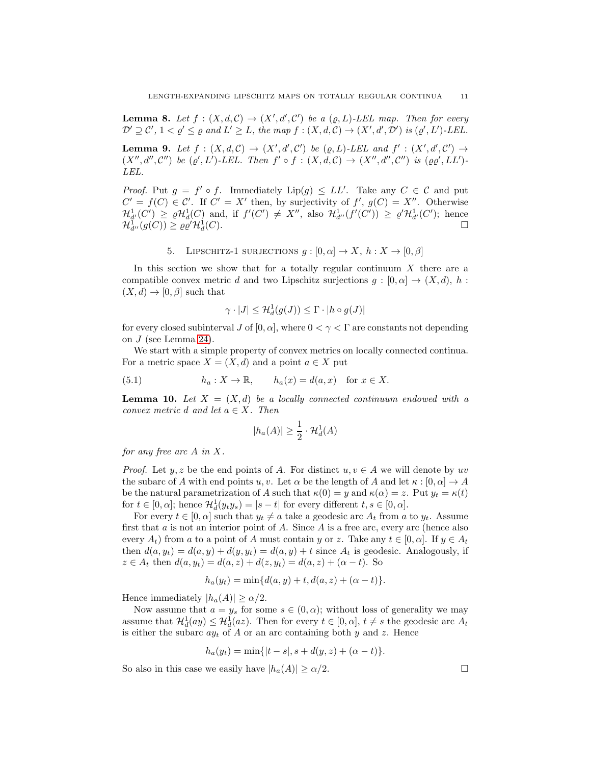**Lemma 8.** Let  $f : (X, d, C) \to (X', d', C')$  be a  $(g, L)$ -LEL map. Then for every  $\mathcal{D}' \supseteq \mathcal{C}'$ ,  $1 < \varrho' \leq \varrho$  and  $L' \geq L$ , the map  $f : (X, d, \mathcal{C}) \to (X', d', \mathcal{D}')$  is  $(\varrho', L')$ -LEL.

<span id="page-10-0"></span>**Lemma 9.** Let  $f : (X, d, C) \rightarrow (X', d', C')$  be  $(\varrho, L)$ -LEL and  $f' : (X', d', C') \rightarrow$  $(X'', d'', \mathcal{C}'')$  be  $(\varrho', L')$ -LEL. Then  $f' \circ f : (X, d, \mathcal{C}) \to (X'', d'', \mathcal{C}'')$  is  $(\varrho \varrho', LL')$ -LEL.

*Proof.* Put  $g = f' \circ f$ . Immediately  $Lip(g) \leq LL'$ . Take any  $C \in \mathcal{C}$  and put  $C' = f(C) \in C'$ . If  $C' = X'$  then, by surjectivity of  $f'$ ,  $g(C) = X''$ . Otherwise  $\mathcal{H}_{d'}^1(C') \geq \varrho \mathcal{H}_d^1(C)$  and, if  $f'(C') \neq X''$ , also  $\mathcal{H}_{d''}^1(f'(C')) \geq \varrho' \mathcal{H}_{d'}^1(C')$ ; hence  $\mathcal{H}_{d''}^{\bar{1}}(g(C))\geq\varrho\varrho'\mathcal{H}_d^1$  $(C).$ 

5. LIPSCHITZ-1 SURJECTIONS 
$$
g: [0, \alpha] \to X
$$
,  $h: X \to [0, \beta]$ 

<span id="page-10-1"></span>In this section we show that for a totally regular continuum  $X$  there are a compatible convex metric d and two Lipschitz surjections  $q : [0, \alpha] \to (X, d), h$ :  $(X, d) \rightarrow [0, \beta]$  such that

$$
\gamma \cdot |J| \leq \mathcal{H}_d^1(g(J)) \leq \Gamma \cdot |h \circ g(J)|
$$

for every closed subinterval J of  $[0, \alpha]$ , where  $0 < \gamma < \Gamma$  are constants not depending on J (see Lemma [24\)](#page-21-0).

We start with a simple property of convex metrics on locally connected continua. For a metric space  $X = (X, d)$  and a point  $a \in X$  put

(5.1) 
$$
h_a: X \to \mathbb{R}, \qquad h_a(x) = d(a, x) \quad \text{for } x \in X.
$$

<span id="page-10-2"></span>**Lemma 10.** Let  $X = (X, d)$  be a locally connected continuum endowed with a convex metric d and let  $a \in X$ . Then

$$
|h_a(A)| \ge \frac{1}{2} \cdot \mathcal{H}_d^1(A)
$$

for any free arc  $A$  in  $X$ .

*Proof.* Let y, z be the end points of A. For distinct  $u, v \in A$  we will denote by uv the subarc of A with end points u, v. Let  $\alpha$  be the length of A and let  $\kappa : [0, \alpha] \to A$ be the natural parametrization of A such that  $\kappa(0) = y$  and  $\kappa(\alpha) = z$ . Put  $y_t = \kappa(t)$ for  $t \in [0, \alpha]$ ; hence  $\mathcal{H}_d^1(y_t y_s) = |s - t|$  for every different  $t, s \in [0, \alpha]$ .

For every  $t \in [0, \alpha]$  such that  $y_t \neq a$  take a geodesic arc  $A_t$  from a to  $y_t$ . Assume first that  $a$  is not an interior point of  $A$ . Since  $A$  is a free arc, every arc (hence also every  $A_t$ ) from a to a point of A must contain y or z. Take any  $t \in [0, \alpha]$ . If  $y \in A_t$ then  $d(a, y_t) = d(a, y) + d(y, y_t) = d(a, y) + t$  since  $A_t$  is geodesic. Analogously, if  $z \in A_t$  then  $d(a, y_t) = d(a, z) + d(z, y_t) = d(a, z) + (\alpha - t)$ . So

$$
h_a(y_t) = \min\{d(a, y) + t, d(a, z) + (\alpha - t)\}.
$$

Hence immediately  $|h_a(A)| \ge \alpha/2$ .

Now assume that  $a = y_s$  for some  $s \in (0, \alpha)$ ; without loss of generality we may assume that  $\mathcal{H}_d^1(ay) \leq \mathcal{H}_d^1(az)$ . Then for every  $t \in [0, \alpha]$ ,  $t \neq s$  the geodesic arc  $A_t$ is either the subarc  $ay_t$  of A or an arc containing both y and z. Hence

$$
h_a(y_t) = \min\{|t - s|, s + d(y, z) + (\alpha - t)\}.
$$

So also in this case we easily have  $|h_a(A)| \ge \alpha/2$ .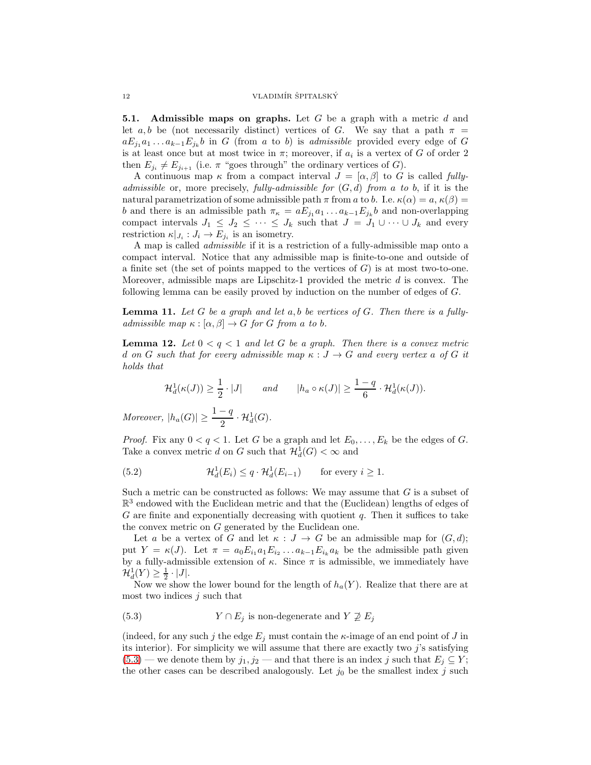#### 12 VLADIMÍR ŠPITALSKÝ

**5.1.** Admissible maps on graphs. Let G be a graph with a metric  $d$  and let a, b be (not necessarily distinct) vertices of G. We say that a path  $\pi$  =  $aE_{j_1}a_1 \ldots a_{k-1}E_{j_k}b$  in G (from a to b) is admissible provided every edge of G is at least once but at most twice in  $\pi$ ; moreover, if  $a_i$  is a vertex of G of order 2 then  $E_{j_i} \neq E_{j_{i+1}}$  (i.e.  $\pi$  "goes through" the ordinary vertices of G).

A continuous map  $\kappa$  from a compact interval  $J = [\alpha, \beta]$  to G is called fullyadmissible or, more precisely, fully-admissible for  $(G, d)$  from a to b, if it is the natural parametrization of some admissible path  $\pi$  from a to b. I.e.  $\kappa(\alpha) = a, \kappa(\beta) = a$ b and there is an admissible path  $\pi_{\kappa} = aE_{j_1}a_1 \dots a_{k-1}E_{j_k}b$  and non-overlapping compact intervals  $J_1 \leq J_2 \leq \cdots \leq J_k$  such that  $J = J_1 \cup \cdots \cup J_k$  and every restriction  $\kappa|_{J_i}: J_i \to E_{j_i}$  is an isometry.

A map is called admissible if it is a restriction of a fully-admissible map onto a compact interval. Notice that any admissible map is finite-to-one and outside of a finite set (the set of points mapped to the vertices of  $G$ ) is at most two-to-one. Moreover, admissible maps are Lipschitz-1 provided the metric  $d$  is convex. The following lemma can be easily proved by induction on the number of edges of G.

<span id="page-11-3"></span>**Lemma 11.** Let G be a graph and let  $a, b$  be vertices of G. Then there is a fullyadmissible map  $\kappa : [\alpha, \beta] \to G$  for G from a to b.

<span id="page-11-0"></span>**Lemma 12.** Let  $0 < q < 1$  and let G be a graph. Then there is a convex metric d on G such that for every admissible map  $\kappa : J \to G$  and every vertex a of G it holds that

$$
\mathcal{H}_d^1(\kappa(J)) \ge \frac{1}{2} \cdot |J| \quad \text{and} \quad |h_a \circ \kappa(J)| \ge \frac{1-q}{6} \cdot \mathcal{H}_d^1(\kappa(J)).
$$

Moreover,  $|h_a(G)| \geq \frac{1-q}{2} \cdot \mathcal{H}_d^1(G)$ .

*Proof.* Fix any  $0 < q < 1$ . Let G be a graph and let  $E_0, \ldots, E_k$  be the edges of G. Take a convex metric d on G such that  $\mathcal{H}_d^1(G) < \infty$  and

<span id="page-11-2"></span>(5.2) 
$$
\mathcal{H}_d^1(E_i) \leq q \cdot \mathcal{H}_d^1(E_{i-1}) \quad \text{for every } i \geq 1.
$$

Such a metric can be constructed as follows: We may assume that  $G$  is a subset of  $\mathbb{R}^3$  endowed with the Euclidean metric and that the (Euclidean) lengths of edges of  $G$  are finite and exponentially decreasing with quotient  $q$ . Then it suffices to take the convex metric on G generated by the Euclidean one.

Let a be a vertex of G and let  $\kappa : J \to G$  be an admissible map for  $(G, d)$ ; put  $Y = \kappa(J)$ . Let  $\pi = a_0 E_{i_1} a_1 E_{i_2} \dots a_{k-1} E_{i_k} a_k$  be the admissible path given by a fully-admissible extension of  $\kappa$ . Since  $\pi$  is admissible, we immediately have  $\mathcal{H}^{1}_{d}(Y) \geq \frac{1}{2} \cdot |J|.$ 

Now we show the lower bound for the length of  $h_a(Y)$ . Realize that there are at most two indices  $j$  such that

<span id="page-11-1"></span>(5.3) 
$$
Y \cap E_j
$$
 is non-degenerate and  $Y \not\supseteq E_j$ 

(indeed, for any such j the edge  $E_j$  must contain the  $\kappa$ -image of an end point of J in its interior). For simplicity we will assume that there are exactly two  $j$ 's satisfying  $(5.3)$  — we denote them by  $j_1, j_2$  — and that there is an index j such that  $E_j \subseteq Y$ ; the other cases can be described analogously. Let  $j_0$  be the smallest index j such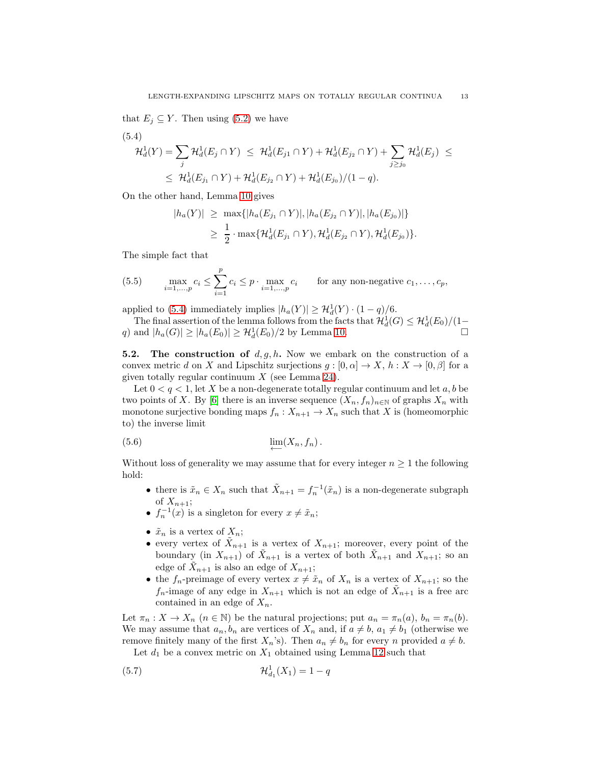that  $E_i \subseteq Y$ . Then using [\(5.2\)](#page-11-2) we have

<span id="page-12-2"></span>
$$
(5.4) \mathcal{H}_d^1(Y) = \sum_j \mathcal{H}_d^1(E_j \cap Y) \leq \mathcal{H}_d^1(E_{j1} \cap Y) + \mathcal{H}_d^1(E_{j2} \cap Y) + \sum_{j \geq j_0} \mathcal{H}_d^1(E_j) \leq
$$
  
 
$$
\leq \mathcal{H}_d^1(E_{j1} \cap Y) + \mathcal{H}_d^1(E_{j2} \cap Y) + \mathcal{H}_d^1(E_{j_0})/(1-q).
$$

On the other hand, Lemma [10](#page-10-2) gives

$$
|h_a(Y)| \ge \max\{|h_a(E_{j_1} \cap Y)|, |h_a(E_{j_2} \cap Y)|, |h_a(E_{j_0})|\}
$$
  

$$
\ge \frac{1}{2} \cdot \max\{\mathcal{H}_d^1(E_{j_1} \cap Y), \mathcal{H}_d^1(E_{j_2} \cap Y), \mathcal{H}_d^1(E_{j_0})\}.
$$

The simple fact that

<span id="page-12-3"></span>(5.5) 
$$
\max_{i=1,\dots,p} c_i \leq \sum_{i=1}^p c_i \leq p \cdot \max_{i=1,\dots,p} c_i \quad \text{for any non-negative } c_1,\dots,c_p,
$$

applied to [\(5.4\)](#page-12-2) immediately implies  $|h_a(Y)| \geq \mathcal{H}_d^1(Y) \cdot (1-q)/6$ .

The final assertion of the lemma follows from the facts that  $\mathcal{H}_d^1(G) \leq \mathcal{H}_d^1(E_0)/(1-\epsilon)$ q) and  $|h_a(G)| \geq |h_a(E_0)| \geq \mathcal{H}_d^1(E_0)/2$  by Lemma [10.](#page-10-2)

<span id="page-12-4"></span>**5.2.** The construction of  $d, g, h$ . Now we embark on the construction of a convex metric d on X and Lipschitz surjections  $g : [0, \alpha] \to X$ ,  $h : X \to [0, \beta]$  for a given totally regular continuum  $X$  (see Lemma [24\)](#page-21-0).

Let  $0 < q < 1$ , let X be a non-degenerate totally regular continuum and let  $a, b$  be two points of X. By [\[6\]](#page-26-8) there is an inverse sequence  $(X_n, f_n)_{n\in\mathbb{N}}$  of graphs  $X_n$  with monotone surjective bonding maps  $f_n: X_{n+1} \to X_n$  such that X is (homeomorphic to) the inverse limit

$$
(5.6) \qquad \qquad \lim_{n \to \infty} (X_n, f_n) \, .
$$

Without loss of generality we may assume that for every integer  $n \geq 1$  the following hold:

- <span id="page-12-0"></span>• there is  $\tilde{x}_n \in X_n$  such that  $\tilde{X}_{n+1} = f_n^{-1}(\tilde{x}_n)$  is a non-degenerate subgraph of  $X_{n+1}$ ;
- $f_n^{-1}(x)$  is a singleton for every  $x \neq \tilde{x}_n$ ;
- $\tilde{x}_n$  is a vertex of  $X_n$ ;
- every vertex of  $\tilde{X}_{n+1}$  is a vertex of  $X_{n+1}$ ; moreover, every point of the boundary (in  $X_{n+1}$ ) of  $\tilde{X}_{n+1}$  is a vertex of both  $\tilde{X}_{n+1}$  and  $X_{n+1}$ ; so an edge of  $\tilde{X}_{n+1}$  is also an edge of  $X_{n+1}$ ;
- the  $f_n$ -preimage of every vertex  $x \neq \tilde{x}_n$  of  $X_n$  is a vertex of  $X_{n+1}$ ; so the  $f_n$ -image of any edge in  $X_{n+1}$  which is not an edge of  $\tilde{X}_{n+1}$  is a free arc contained in an edge of  $X_n$ .

Let  $\pi_n : X \to X_n$   $(n \in \mathbb{N})$  be the natural projections; put  $a_n = \pi_n(a)$ ,  $b_n = \pi_n(b)$ . We may assume that  $a_n, b_n$  are vertices of  $X_n$  and, if  $a \neq b$ ,  $a_1 \neq b_1$  (otherwise we remove finitely many of the first  $X_n$ 's). Then  $a_n \neq b_n$  for every n provided  $a \neq b$ .

<span id="page-12-1"></span>Let  $d_1$  be a convex metric on  $X_1$  obtained using Lemma [12](#page-11-0) such that

(5.7) 
$$
\mathcal{H}^1_{d_1}(X_1) = 1 - q
$$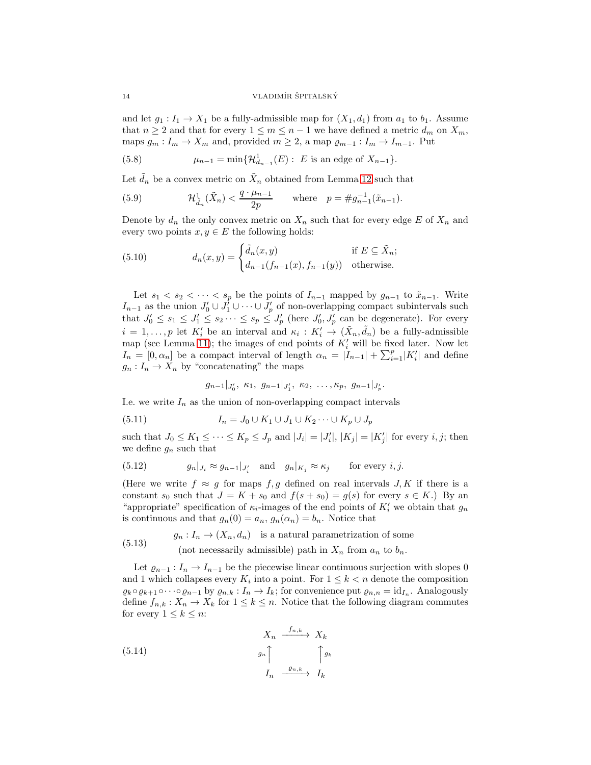and let  $g_1 : I_1 \to X_1$  be a fully-admissible map for  $(X_1, d_1)$  from  $a_1$  to  $b_1$ . Assume that  $n \geq 2$  and that for every  $1 \leq m \leq n-1$  we have defined a metric  $d_m$  on  $X_m$ , maps  $g_m: I_m \to X_m$  and, provided  $m \geq 2$ , a map  $\varrho_{m-1}: I_m \to I_{m-1}$ . Put

<span id="page-13-0"></span>(5.8) 
$$
\mu_{n-1} = \min \{ \mathcal{H}_{d_{n-1}}^1(E) : E \text{ is an edge of } X_{n-1} \}.
$$

Let  $\tilde{d}_n$  be a convex metric on  $\tilde{X}_n$  obtained from Lemma [12](#page-11-0) such that

<span id="page-13-4"></span>(5.9) 
$$
\mathcal{H}^1_{\tilde{d}_n}(\tilde{X}_n) < \frac{q \cdot \mu_{n-1}}{2p} \quad \text{where} \quad p = \#g_{n-1}^{-1}(\tilde{x}_{n-1}).
$$

Denote by  $d_n$  the only convex metric on  $X_n$  such that for every edge E of  $X_n$  and every two points  $x, y \in E$  the following holds:

<span id="page-13-1"></span>(5.10) 
$$
d_n(x,y) = \begin{cases} \tilde{d}_n(x,y) & \text{if } E \subseteq \tilde{X}_n; \\ d_{n-1}(f_{n-1}(x), f_{n-1}(y)) & \text{otherwise.} \end{cases}
$$

Let  $s_1 < s_2 < \cdots < s_p$  be the points of  $I_{n-1}$  mapped by  $g_{n-1}$  to  $\tilde{x}_{n-1}$ . Write  $I_{n-1}$  as the union  $J'_0 \cup J'_1 \cup \cdots \cup J'_p$  of non-overlapping compact subintervals such that  $J'_0 \leq s_1 \leq J'_1 \leq s_2 \cdots \leq s_p \leq J'_p$  (here  $J'_0, J'_p$  can be degenerate). For every  $i = 1, \ldots, p$  let  $K'_i$  be an interval and  $\kappa_i : K'_i \to (\tilde{X}_n, \tilde{d}_n)$  be a fully-admissible map (see Lemma [11\)](#page-11-3); the images of end points of  $K'_{i}$  will be fixed later. Now let  $I_n = [0, \alpha_n]$  be a compact interval of length  $\alpha_n = |I_{n-1}| + \sum_{i=1}^p |K'_i|$  and define  $g_n: I_n \to X_n$  by "concatenating" the maps

<span id="page-13-2"></span>
$$
g_{n-1}|_{J'_0}, \kappa_1, g_{n-1}|_{J'_1}, \kappa_2, \ldots, \kappa_p, g_{n-1}|_{J'_p}.
$$

I.e. we write  $I_n$  as the union of non-overlapping compact intervals

$$
(5.11) \tIn = J0 \cup K1 \cup J1 \cup K2 \cdots \cup Kp \cup Jp
$$

such that  $J_0 \leq K_1 \leq \cdots \leq K_p \leq J_p$  and  $|J_i| = |J'_i|$ ,  $|K_j| = |K'_j|$  for every *i*, *j*; then we define  $g_n$  such that

<span id="page-13-6"></span>(5.12) 
$$
g_n|_{J_i} \approx g_{n-1}|_{J'_i} \text{ and } g_n|_{K_j} \approx \kappa_j \quad \text{for every } i, j.
$$

(Here we write  $f \approx g$  for maps f, g defined on real intervals J, K if there is a constant  $s_0$  such that  $J = K + s_0$  and  $f(s + s_0) = g(s)$  for every  $s \in K$ .) By an "appropriate" specification of  $\kappa_i$ -images of the end points of  $K'_i$  we obtain that  $g_n$ is continuous and that  $g_n(0) = a_n$ ,  $g_n(\alpha_n) = b_n$ . Notice that

<span id="page-13-5"></span>(5.13) 
$$
g_n: I_n \to (X_n, d_n) \text{ is a natural parametrization of some}
$$
  
(not necessarily admissible) path in  $X_n$  from  $a_n$  to  $b_n$ .

Let  $\varrho_{n-1}: I_n \to I_{n-1}$  be the piecewise linear continuous surjection with slopes 0 and 1 which collapses every  $K_i$  into a point. For  $1 \leq k < n$  denote the composition  $\varrho_k \circ \varrho_{k+1} \circ \cdots \circ \varrho_{n-1}$  by  $\varrho_{n,k} : I_n \to I_k$ ; for convenience put  $\varrho_{n,n} = \mathrm{id}_{I_n}$ . Analogously define  $f_{n,k}: X_n \to X_k$  for  $1 \leq k \leq n$ . Notice that the following diagram commutes for every  $1 \leq k \leq n$ :

<span id="page-13-3"></span>
$$
\begin{array}{ccc}\nX_n & \xrightarrow{f_{n,k}} & X_k \\
\hline\ng_n \uparrow & & \uparrow g_k \\
I_n & \xrightarrow{\varrho_{n,k}} & I_k\n\end{array}
$$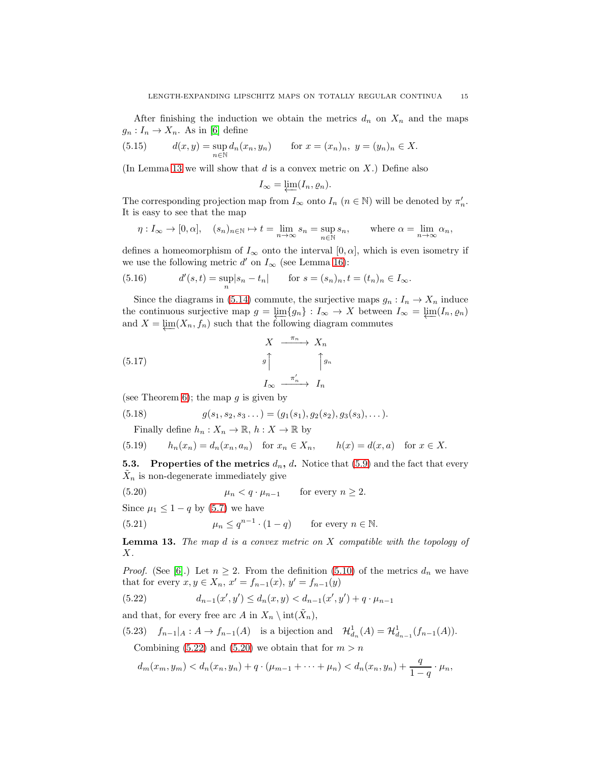After finishing the induction we obtain the metrics  $d_n$  on  $X_n$  and the maps  $g_n: I_n \to X_n$ . As in [\[6\]](#page-26-8) define

<span id="page-14-0"></span>(5.15) 
$$
d(x, y) = \sup_{n \in \mathbb{N}} d_n(x_n, y_n) \quad \text{for } x = (x_n)_n, \ y = (y_n)_n \in X.
$$

(In Lemma [13](#page-14-1) we will show that  $d$  is a convex metric on  $X$ .) Define also

$$
I_{\infty} = \underleftarrow{\lim} (I_n, \varrho_n).
$$

The corresponding projection map from  $I_{\infty}$  onto  $I_n$   $(n \in \mathbb{N})$  will be denoted by  $\pi'_n$ . It is easy to see that the map

$$
\eta: I_{\infty} \to [0, \alpha], \quad (s_n)_{n \in \mathbb{N}} \to t = \lim_{n \to \infty} s_n = \sup_{n \in \mathbb{N}} s_n, \quad \text{where } \alpha = \lim_{n \to \infty} \alpha_n,
$$

defines a homeomorphism of  $I_{\infty}$  onto the interval [0,  $\alpha$ ], which is even isometry if we use the following metric  $d'$  on  $I_{\infty}$  (see Lemma [16\)](#page-17-0):

<span id="page-14-8"></span>(5.16) 
$$
d'(s,t) = \sup_{n} |s_n - t_n| \quad \text{for } s = (s_n)_n, t = (t_n)_n \in I_\infty.
$$

Since the diagrams in [\(5.14\)](#page-13-3) commute, the surjective maps  $g_n: I_n \to X_n$  induce the continuous surjective map  $g = \lim_{\delta \to 0} \{g_n\} : I_{\infty} \to X$  between  $I_{\infty} = \lim_{\delta \to 0} (I_n, \varrho_n)$ and  $X = \underleftarrow{\lim}(X_n, f_n)$  such that the following diagram commutes

(5.17) 
$$
X \xrightarrow{\pi_n} X_n
$$

$$
g \uparrow \qquad \qquad \uparrow g_n
$$

$$
I_{\infty} \xrightarrow{\pi'_n} I_n
$$

(see Theorem [6\)](#page-9-1); the map  $q$  is given by

(5.18) 
$$
g(s_1, s_2, s_3 \dots) = (g_1(s_1), g_2(s_2), g_3(s_3), \dots).
$$

<span id="page-14-3"></span><span id="page-14-2"></span>Finally define  $h_n: X_n \to \mathbb{R}$ ,  $h: X \to \mathbb{R}$  by

(5.19) 
$$
h_n(x_n) = d_n(x_n, a_n)
$$
 for  $x_n \in X_n$ ,  $h(x) = d(x, a)$  for  $x \in X$ .

**5.3.** Properties of the metrics  $d_n$ ,  $d$ . Notice that [\(5.9\)](#page-13-4) and the fact that every  $\tilde{X}_n$  is non-degenerate immediately give

<span id="page-14-5"></span>(5.20) 
$$
\mu_n < q \cdot \mu_{n-1} \qquad \text{for every } n \ge 2.
$$

Since  $\mu_1 \leq 1 - q$  by [\(5.7\)](#page-12-1) we have

<span id="page-14-7"></span>(5.21) 
$$
\mu_n \le q^{n-1} \cdot (1-q) \quad \text{for every } n \in \mathbb{N}.
$$

<span id="page-14-1"></span>**Lemma 13.** The map  $d$  is a convex metric on  $X$  compatible with the topology of  $X$ .

*Proof.* (See [\[6\]](#page-26-8).) Let  $n \geq 2$ . From the definition [\(5.10\)](#page-13-1) of the metrics  $d_n$  we have that for every  $x, y \in X_n$ ,  $x' = f_{n-1}(x)$ ,  $y' = f_{n-1}(y)$ 

<span id="page-14-4"></span>(5.22) 
$$
d_{n-1}(x',y') \leq d_n(x,y) < d_{n-1}(x',y') + q \cdot \mu_{n-1}
$$

and that, for every free arc A in  $X_n \setminus \text{int}(\tilde{X}_n)$ ,

(5.23) 
$$
f_{n-1}|_A : A \to f_{n-1}(A)
$$
 is a bijection and  $\mathcal{H}_{d_n}^1(A) = \mathcal{H}_{d_{n-1}}^1(f_{n-1}(A)).$ 

<span id="page-14-6"></span>Combining [\(5.22\)](#page-14-4) and [\(5.20\)](#page-14-5) we obtain that for  $m > n$ 

$$
d_m(x_m, y_m) < d_n(x_n, y_n) + q \cdot (\mu_{m-1} + \dots + \mu_n) < d_n(x_n, y_n) + \frac{q}{1-q} \cdot \mu_n,
$$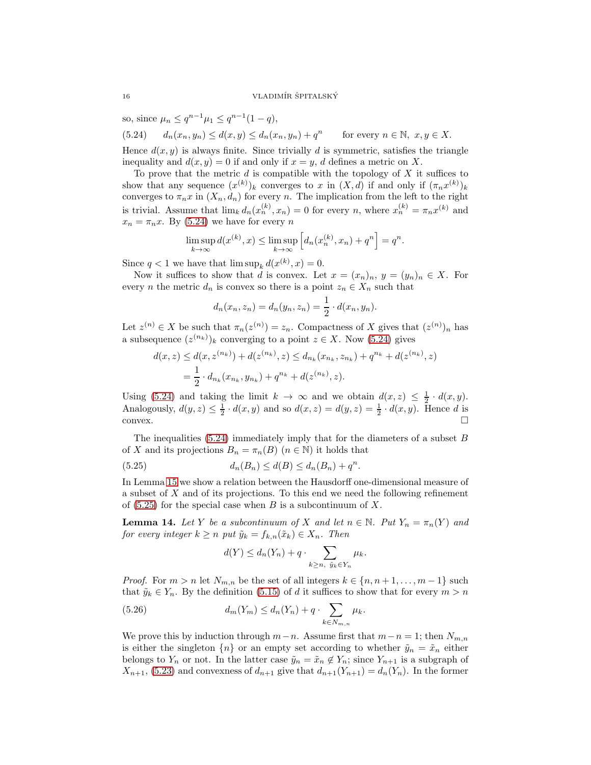so, since  $\mu_n \leq q^{n-1} \mu_1 \leq q^{n-1} (1-q)$ ,

<span id="page-15-0"></span>(5.24)  $d_n(x_n, y_n) \leq d(x, y) \leq d_n(x_n, y_n) + q^n$ for every  $n \in \mathbb{N}, x, y \in X$ .

Hence  $d(x, y)$  is always finite. Since trivially d is symmetric, satisfies the triangle inequality and  $d(x, y) = 0$  if and only if  $x = y$ , d defines a metric on X.

To prove that the metric  $d$  is compatible with the topology of  $X$  it suffices to show that any sequence  $(x^{(k)})_k$  converges to x in  $(X, d)$  if and only if  $(\pi_n x^{(k)})_k$ converges to  $\pi_n x$  in  $(X_n, d_n)$  for every n. The implication from the left to the right is trivial. Assume that  $\lim_k d_n(x_n^{(k)}, x_n) = 0$  for every n, where  $x_n^{(k)} = \pi_n x^{(k)}$  and  $x_n = \pi_n x$ . By [\(5.24\)](#page-15-0) we have for every n

$$
\limsup_{k \to \infty} d(x^{(k)}, x) \le \limsup_{k \to \infty} \left[ d_n(x_n^{(k)}, x_n) + q^n \right] = q^n.
$$

Since  $q < 1$  we have that  $\limsup_k d(x^{(k)}, x) = 0$ .

Now it suffices to show that d is convex. Let  $x = (x_n)_n, y = (y_n)_n \in X$ . For every *n* the metric  $d_n$  is convex so there is a point  $z_n \in X_n$  such that

$$
d_n(x_n, z_n) = d_n(y_n, z_n) = \frac{1}{2} \cdot d(x_n, y_n).
$$

Let  $z^{(n)} \in X$  be such that  $\pi_n(z^{(n)}) = z_n$ . Compactness of X gives that  $(z^{(n)})_n$  has a subsequence  $(z^{(n_k)})_k$  converging to a point  $z \in X$ . Now [\(5.24\)](#page-15-0) gives

$$
d(x, z) \le d(x, z^{(n_k)}) + d(z^{(n_k)}, z) \le d_{n_k}(x_{n_k}, z_{n_k}) + q^{n_k} + d(z^{(n_k)}, z)
$$
  
=  $\frac{1}{2} \cdot d_{n_k}(x_{n_k}, y_{n_k}) + q^{n_k} + d(z^{(n_k)}, z).$ 

Using [\(5.24\)](#page-15-0) and taking the limit  $k \to \infty$  and we obtain  $d(x, z) \leq \frac{1}{2} \cdot d(x, y)$ . Analogously,  $d(y, z) \leq \frac{1}{2} \cdot d(x, y)$  and so  $d(x, z) = d(y, z) = \frac{1}{2} \cdot d(x, y)$ . Hence d is convex.  $\Box$ 

The inequalities  $(5.24)$  immediately imply that for the diameters of a subset B of X and its projections  $B_n = \pi_n(B)$   $(n \in \mathbb{N})$  it holds that

(5.25) 
$$
d_n(B_n) \le d(B) \le d_n(B_n) + q^n.
$$

In Lemma [15](#page-16-0) we show a relation between the Hausdorff one-dimensional measure of a subset of X and of its projections. To this end we need the following refinement of  $(5.25)$  for the special case when B is a subcontinuum of X.

<span id="page-15-3"></span>**Lemma 14.** Let Y be a subcontinuum of X and let  $n \in \mathbb{N}$ . Put  $Y_n = \pi_n(Y)$  and for every integer  $k \geq n$  put  $\tilde{y}_k = f_{k,n}(\tilde{x}_k) \in X_n$ . Then

<span id="page-15-2"></span><span id="page-15-1"></span>
$$
d(Y) \le d_n(Y_n) + q \cdot \sum_{k \ge n, \ \tilde{y}_k \in Y_n} \mu_k.
$$

*Proof.* For  $m > n$  let  $N_{m,n}$  be the set of all integers  $k \in \{n, n+1, \ldots, m-1\}$  such that  $\tilde{y}_k \in Y_n$ . By the definition [\(5.15\)](#page-14-0) of d it suffices to show that for every  $m > n$ 

(5.26) 
$$
d_m(Y_m) \leq d_n(Y_n) + q \cdot \sum_{k \in N_{m,n}} \mu_k.
$$

We prove this by induction through  $m-n$ . Assume first that  $m-n=1$ ; then  $N_{m,n}$ is either the singleton  $\{n\}$  or an empty set according to whether  $\tilde{y}_n = \tilde{x}_n$  either belongs to  $Y_n$  or not. In the latter case  $\tilde{y}_n = \tilde{x}_n \notin Y_n$ ; since  $Y_{n+1}$  is a subgraph of  $X_{n+1}$ , [\(5.23\)](#page-14-6) and convexness of  $d_{n+1}$  give that  $d_{n+1}(Y_{n+1}) = d_n(Y_n)$ . In the former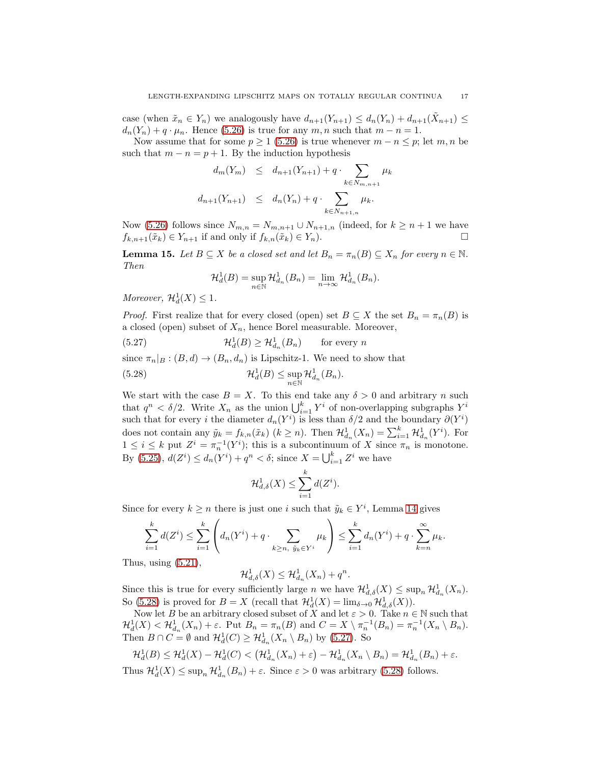case (when  $\tilde{x}_n \in Y_n$ ) we analogously have  $d_{n+1}(Y_{n+1}) \leq d_n(Y_n) + d_{n+1}(\tilde{X}_{n+1}) \leq$  $d_n(Y_n) + q \cdot \mu_n$ . Hence [\(5.26\)](#page-15-2) is true for any m, n such that  $m - n = 1$ .

Now assume that for some  $p \ge 1$  [\(5.26\)](#page-15-2) is true whenever  $m - n \le p$ ; let  $m, n$  be such that  $m - n = p + 1$ . By the induction hypothesis

$$
d_m(Y_m) \leq d_{n+1}(Y_{n+1}) + q \cdot \sum_{k \in N_{m,n+1}} \mu_k
$$
  

$$
d_{n+1}(Y_{n+1}) \leq d_n(Y_n) + q \cdot \sum_{k \in N_{n+1,n}} \mu_k.
$$

Now [\(5.26\)](#page-15-2) follows since  $N_{m,n} = N_{m,n+1} \cup N_{n+1,n}$  (indeed, for  $k \geq n+1$  we have  $f_{k,n+1}(\tilde{x}_k) \in Y_{n+1}$  if and only if  $f_{k,n}(\tilde{x}_k) \in Y_n$ .

<span id="page-16-0"></span>**Lemma 15.** Let  $B \subseteq X$  be a closed set and let  $B_n = \pi_n(B) \subseteq X_n$  for every  $n \in \mathbb{N}$ . Then

<span id="page-16-2"></span>
$$
\mathcal{H}_d^1(B) = \sup_{n \in \mathbb{N}} \mathcal{H}_{d_n}^1(B_n) = \lim_{n \to \infty} \mathcal{H}_{d_n}^1(B_n).
$$

Moreover,  $\mathcal{H}_d^1(X) \leq 1$ .

*Proof.* First realize that for every closed (open) set  $B \subseteq X$  the set  $B_n = \pi_n(B)$  is a closed (open) subset of  $X_n$ , hence Borel measurable. Moreover,

 $(5.27)$  $_d^1(B) \geq \mathcal{H}_{d_n}^1$ for every  $n$ 

since  $\pi_n|_B : (B, d) \to (B_n, d_n)$  is Lipschitz-1. We need to show that

(5.28) 
$$
\mathcal{H}_d^1(B) \leq \sup_{n \in \mathbb{N}} \mathcal{H}_{d_n}^1(B_n).
$$

We start with the case  $B = X$ . To this end take any  $\delta > 0$  and arbitrary n such that  $q^n < \delta/2$ . Write  $X_n$  as the union  $\bigcup_{i=1}^k Y^i$  of non-overlapping subgraphs  $Y^i$ . such that for every *i* the diameter  $d_n(Y^i)$  is less than  $\delta/2$  and the boundary  $\partial(Y^i)$ does not contain any  $\tilde{y}_k = f_{k,n}(\tilde{x}_k)$   $(k \geq n)$ . Then  $\mathcal{H}^1_{d_n}(X_n) = \sum_{i=1}^k \mathcal{H}^1_{d_n}(Y^i)$ . For  $1 \leq i \leq k$  put  $Z^i = \pi_n^{-1}(Y^i)$ ; this is a subcontinuum of X since  $\pi_n$  is monotone. By [\(5.25\)](#page-15-1),  $d(Z^i) \leq d_n(Y^i) + q^n < \delta$ ; since  $X = \bigcup_{i=1}^k Z^i$  we have

<span id="page-16-1"></span>
$$
\mathcal{H}^1_{d,\delta}(X) \le \sum_{i=1}^k d(Z^i).
$$

Since for every  $k \geq n$  there is just one i such that  $\tilde{y}_k \in Y^i$ , Lemma [14](#page-15-3) gives

$$
\sum_{i=1}^k d(Z^i) \le \sum_{i=1}^k \left( d_n(Y^i) + q \cdot \sum_{k \ge n, \ \tilde{y}_k \in Y^i} \mu_k \right) \le \sum_{i=1}^k d_n(Y^i) + q \cdot \sum_{k=n}^\infty \mu_k.
$$

Thus, using  $(5.21)$ ,

$$
\mathcal{H}^1_{d,\delta}(X) \leq \mathcal{H}^1_{d_n}(X_n) + q^n.
$$

Since this is true for every sufficiently large n we have  $\mathcal{H}^1_{d,\delta}(X) \leq \sup_n \mathcal{H}^1_{d_n}(X_n)$ . So [\(5.28\)](#page-16-1) is proved for  $B = X$  (recall that  $\mathcal{H}_d^1(X) = \lim_{\delta \to 0} \mathcal{H}_{d,\delta}^1(X)$ ).

Now let B be an arbitrary closed subset of X and let  $\varepsilon > 0$ . Take  $n \in \mathbb{N}$  such that  $\mathcal{H}_d^1(X) < \mathcal{H}_{d_n}^1(X_n) + \varepsilon$ . Put  $B_n = \pi_n(B)$  and  $C = X \setminus \pi_n^{-1}(B_n) = \pi_n^{-1}(X_n \setminus B_n)$ . Then  $B \cap C = \emptyset$  and  $\mathcal{H}_d^1(C) \geq \mathcal{H}_{d_n}^1(X_n \setminus B_n)$  by [\(5.27\)](#page-16-2). So

$$
\mathcal{H}_d^1(B) \leq \mathcal{H}_d^1(X) - \mathcal{H}_d^1(C) < \left(\mathcal{H}_{d_n}^1(X_n) + \varepsilon\right) - \mathcal{H}_{d_n}^1(X_n \setminus B_n) = \mathcal{H}_{d_n}^1(B_n) + \varepsilon.
$$

Thus  $\mathcal{H}_d^1(X) \le \sup_n \mathcal{H}_{d_n}^1(B_n) + \varepsilon$ . Since  $\varepsilon > 0$  was arbitrary [\(5.28\)](#page-16-1) follows.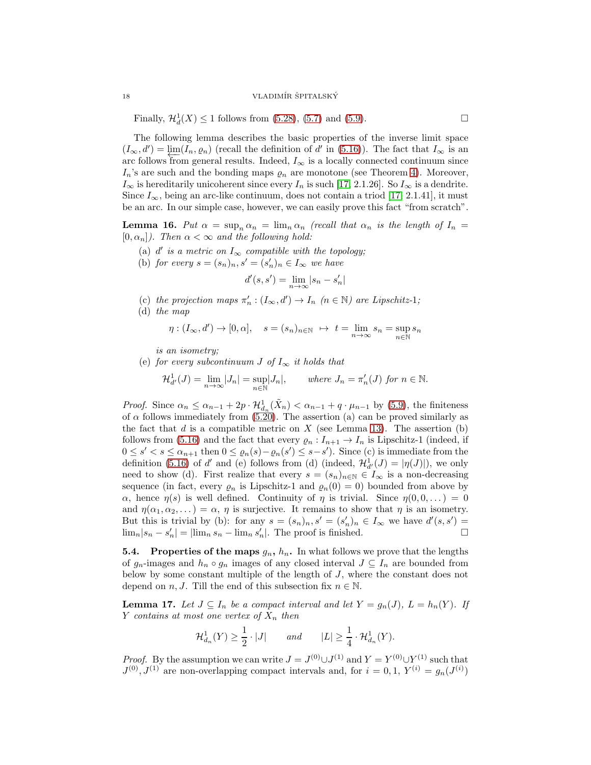Finally,  $\mathcal{H}_d^1(X) \le 1$  follows from [\(5.28\)](#page-16-1), [\(5.7\)](#page-12-1) and [\(5.9\)](#page-13-4).

The following lemma describes the basic properties of the inverse limit space  $(I_{\infty}, d') = \lim_{\substack{\longleftarrow \\ \longleftarrow}} (I_n, \varrho_n)$  (recall the definition of d' in [\(5.16\)](#page-14-8)). The fact that  $I_{\infty}$  is an arc follows from general results. Indeed,  $I_{\infty}$  is a locally connected continuum since  $I_n$ 's are such and the bonding maps  $\varrho_n$  are monotone (see Theorem [4\)](#page-8-0). Moreover,  $I_{\infty}$  is hereditarily unicoherent since every  $I_n$  is such [\[17,](#page-26-11) 2.1.26]. So  $I_{\infty}$  is a dendrite. Since  $I_{\infty}$ , being an arc-like continuum, does not contain a triod [\[17,](#page-26-11) 2.1.41], it must be an arc. In our simple case, however, we can easily prove this fact "from scratch".

<span id="page-17-0"></span>**Lemma 16.** Put  $\alpha = \sup_n \alpha_n = \lim_n \alpha_n$  (recall that  $\alpha_n$  is the length of  $I_n =$  $[0, \alpha_n]$ ). Then  $\alpha < \infty$  and the following hold:

- (a)  $d'$  is a metric on  $I_{\infty}$  compatible with the topology;
- (b) for every  $s = (s_n)_n$ ,  $s' = (s'_n)_n \in I_\infty$  we have

$$
d'(s, s') = \lim_{n \to \infty} |s_n - s'_n|
$$

- (c) the projection maps  $\pi'_n : (I_\infty, d') \to I_n$  ( $n \in \mathbb{N}$ ) are Lipschitz-1;
- (d) the map

$$
\eta: (I_{\infty}, d') \to [0, \alpha], \quad s = (s_n)_{n \in \mathbb{N}} \ \mapsto \ t = \lim_{n \to \infty} s_n = \sup_{n \in \mathbb{N}} s_n
$$

is an isometry;

(e) for every subcontinuum J of  $I_{\infty}$  it holds that

$$
\mathcal{H}_{d'}^1(J) = \lim_{n \to \infty} |J_n| = \sup_{n \in \mathbb{N}} |J_n|, \qquad \text{where } J_n = \pi'_n(J) \text{ for } n \in \mathbb{N}.
$$

*Proof.* Since  $\alpha_n \leq \alpha_{n-1} + 2p \cdot \mathcal{H}^1_{d_n}(\tilde{X}_n) < \alpha_{n-1} + q \cdot \mu_{n-1}$  by [\(5.9\)](#page-13-4), the finiteness of  $\alpha$  follows immediately from [\(5.20\)](#page-14-5). The assertion (a) can be proved similarly as the fact that  $d$  is a compatible metric on  $X$  (see Lemma [13\)](#page-14-1). The assertion (b) follows from [\(5.16\)](#page-14-8) and the fact that every  $\varrho_n : I_{n+1} \to I_n$  is Lipschitz-1 (indeed, if  $0 \leq s' < s \leq \alpha_{n+1}$  then  $0 \leq \varrho_n(s) - \varrho_n(s') \leq s - s'$ ). Since (c) is immediate from the definition [\(5.16\)](#page-14-8) of d' and (e) follows from (d) (indeed,  $\mathcal{H}^1_{d'}(J) = |\eta(J)|$ ), we only need to show (d). First realize that every  $s = (s_n)_{n \in \mathbb{N}} \in I_\infty$  is a non-decreasing sequence (in fact, every  $\varrho_n$  is Lipschitz-1 and  $\varrho_n(0) = 0$ ) bounded from above by  $\alpha$ , hence  $\eta(s)$  is well defined. Continuity of  $\eta$  is trivial. Since  $\eta(0,0,\dots) = 0$ and  $\eta(\alpha_1, \alpha_2, ...) = \alpha$ ,  $\eta$  is surjective. It remains to show that  $\eta$  is an isometry. But this is trivial by (b): for any  $s = (s_n)_n$ ,  $s' = (s'_n)_n \in I_\infty$  we have  $d'(s, s') =$  $\lim_{n} |s_n - s'_n| = |\lim_{n} s_n - \lim_{n} s'_n|$ . The proof is finished. □

**5.4.** Properties of the maps  $g_n$ ,  $h_n$ . In what follows we prove that the lengths of  $g_n$ -images and  $h_n \circ g_n$  images of any closed interval  $J \subseteq I_n$  are bounded from below by some constant multiple of the length of J, where the constant does not depend on n, J. Till the end of this subsection fix  $n \in \mathbb{N}$ .

<span id="page-17-1"></span>**Lemma 17.** Let  $J \subseteq I_n$  be a compact interval and let  $Y = g_n(J)$ ,  $L = h_n(Y)$ . If Y contains at most one vertex of  $X_n$  then

$$
\mathcal{H}^1_{d_n}(Y) \geq \frac{1}{2} \cdot |J| \quad \text{and} \quad |L| \geq \frac{1}{4} \cdot \mathcal{H}^1_{d_n}(Y).
$$

*Proof.* By the assumption we can write  $J = J^{(0)} \cup J^{(1)}$  and  $Y = Y^{(0)} \cup Y^{(1)}$  such that  $J^{(0)}, J^{(1)}$  are non-overlapping compact intervals and, for  $i = 0, 1, Y^{(i)} = g_n(J^{(i)})$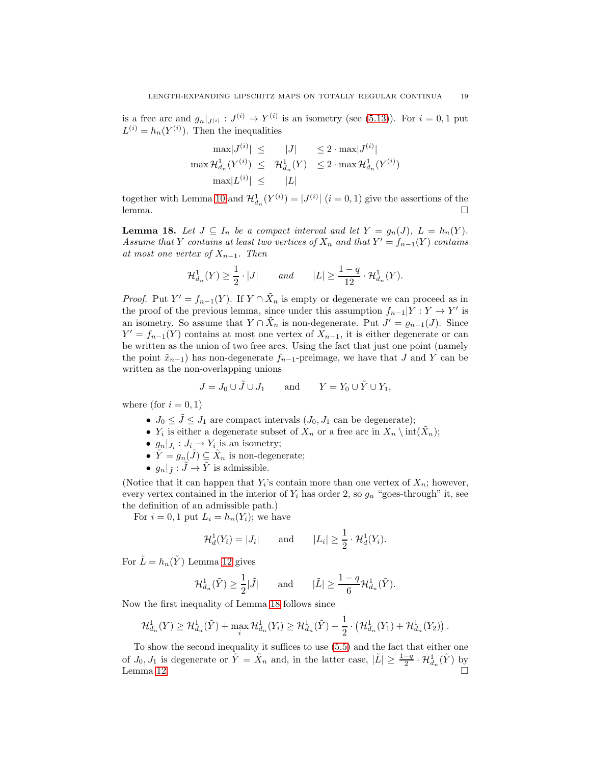is a free arc and  $g_n|_{J^{(i)}}: J^{(i)} \to Y^{(i)}$  is an isometry (see [\(5.13\)](#page-13-5)). For  $i = 0, 1$  put  $L^{(i)} = h_n(Y^{(i)})$ . Then the inequalities

$$
\max |J^{(i)}| \leq |J| \leq 2 \cdot \max |J^{(i)}|
$$
  

$$
\max \mathcal{H}_{d_n}^1(Y^{(i)}) \leq \mathcal{H}_{d_n}^1(Y) \leq 2 \cdot \max \mathcal{H}_{d_n}^1(Y^{(i)})
$$
  

$$
\max |L^{(i)}| \leq |L|
$$

together with Lemma [10](#page-10-2) and  $\mathcal{H}^1_{d_n}(Y^{(i)}) = |J^{(i)}|$   $(i = 0, 1)$  give the assertions of the lemma.  $\square$ 

<span id="page-18-0"></span>**Lemma 18.** Let  $J \subseteq I_n$  be a compact interval and let  $Y = g_n(J)$ ,  $L = h_n(Y)$ . Assume that Y contains at least two vertices of  $X_n$  and that  $Y' = f_{n-1}(Y)$  contains at most one vertex of  $X_{n-1}$ . Then

$$
\mathcal{H}^1_{d_n}(Y) \geq \frac{1}{2} \cdot |J| \qquad \text{and} \qquad |L| \geq \frac{1-q}{12} \cdot \mathcal{H}^1_{d_n}(Y).
$$

*Proof.* Put  $Y' = f_{n-1}(Y)$ . If  $Y \cap \tilde{X}_n$  is empty or degenerate we can proceed as in the proof of the previous lemma, since under this assumption  $f_{n-1}|Y:Y \to Y'$  is an isometry. So assume that  $Y \cap \tilde{X}_n$  is non-degenerate. Put  $J' = \varrho_{n-1}(J)$ . Since  $Y' = f_{n-1}(Y)$  contains at most one vertex of  $X_{n-1}$ , it is either degenerate or can be written as the union of two free arcs. Using the fact that just one point (namely the point  $\tilde{x}_{n-1}$ ) has non-degenerate  $f_{n-1}$ -preimage, we have that J and Y can be written as the non-overlapping unions

$$
J = J_0 \cup \tilde{J} \cup J_1 \quad \text{and} \quad Y = Y_0 \cup \tilde{Y} \cup Y_1,
$$

where (for  $i = 0, 1$ )

- $J_0 \leq \tilde{J} \leq J_1$  are compact intervals  $(J_0, J_1)$  can be degenerate);
- $Y_i$  is either a degenerate subset of  $X_n$  or a free arc in  $X_n \setminus \text{int}(\tilde{X}_n)$ ;
- $g_n|_{J_i}: J_i \to Y_i$  is an isometry;
- $\tilde{Y} = g_n(\tilde{J}) \subseteq \tilde{X}_n$  is non-degenerate;
- $g_n|_{\tilde{\tau}} : \tilde{J} \to \tilde{Y}$  is admissible.

(Notice that it can happen that  $Y_i$ 's contain more than one vertex of  $X_n$ ; however, every vertex contained in the interior of  $Y_i$  has order 2, so  $g_n$  "goes-through" it, see the definition of an admissible path.)

For  $i = 0, 1$  put  $L_i = h_n(Y_i)$ ; we have

$$
\mathcal{H}_d^1(Y_i) = |J_i| \quad \text{and} \quad |L_i| \geq \frac{1}{2} \cdot \mathcal{H}_d^1(Y_i).
$$

For  $\tilde{L} = h_n(\tilde{Y})$  Lemma [12](#page-11-0) gives

$$
\mathcal{H}^1_{d_n}(\tilde{Y}) \ge \frac{1}{2}|\tilde{J}| \quad \text{and} \quad |\tilde{L}| \ge \frac{1-q}{6} \mathcal{H}^1_{d_n}(\tilde{Y}).
$$

Now the first inequality of Lemma [18](#page-18-0) follows since

$$
\mathcal{H}_{d_n}^1(Y) \geq \mathcal{H}_{d_n}^1(\tilde{Y}) + \max_i \mathcal{H}_{d_n}^1(Y_i) \geq \mathcal{H}_{d_n}^1(\tilde{Y}) + \frac{1}{2} \cdot (\mathcal{H}_{d_n}^1(Y_1) + \mathcal{H}_{d_n}^1(Y_2)).
$$

To show the second inequality it suffices to use [\(5.5\)](#page-12-3) and the fact that either one of  $J_0, J_1$  is degenerate or  $\tilde{Y} = \tilde{X}_n$  and, in the latter case,  $|\tilde{L}| \geq \frac{1-q}{2} \cdot \mathcal{H}^1_{d_n}(\tilde{Y})$  by Lemma [12.](#page-11-0)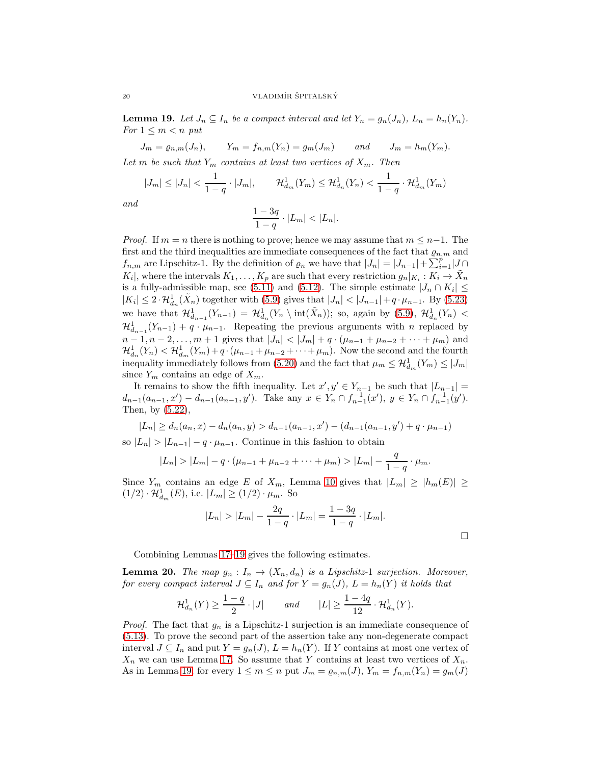<span id="page-19-0"></span>**Lemma 19.** Let  $J_n \subseteq I_n$  be a compact interval and let  $Y_n = g_n(J_n)$ ,  $L_n = h_n(Y_n)$ . For  $1 \leq m < n$  put

 $J_m = \rho_{n,m}(J_n),$   $Y_m = f_{n,m}(Y_n) = g_m(J_m)$  and  $J_m = h_m(Y_m).$ Let m be such that  $Y_m$  contains at least two vertices of  $X_m$ . Then

$$
|J_m| \le |J_n| < \frac{1}{1-q} \cdot |J_m|, \qquad \mathcal{H}^1_{d_m}(Y_m) \le \mathcal{H}^1_{d_n}(Y_n) < \frac{1}{1-q} \cdot \mathcal{H}^1_{d_m}(Y_m)
$$

and

$$
\frac{1-3q}{1-q}\cdot |L_m|<|L_n|.
$$

*Proof.* If  $m = n$  there is nothing to prove; hence we may assume that  $m \leq n-1$ . The first and the third inequalities are immediate consequences of the fact that  $\rho_{n,m}$  and  $f_{n,m}$  are Lipschitz-1. By the definition of  $\varrho_n$  we have that  $|J_n| = |J_{n-1}| + \sum_{i=1}^{p} |J \cap J_i|$  $K_i$ , where the intervals  $K_1, \ldots, K_p$  are such that every restriction  $g_n|_{K_i}: K_i \to \tilde{X}_n$ is a fully-admissible map, see [\(5.11\)](#page-13-2) and [\(5.12\)](#page-13-6). The simple estimate  $|J_n \cap K_i| \leq$  $|K_i| \leq 2 \cdot \mathcal{H}_{d_n}^1(\tilde{X}_n)$  together with [\(5.9\)](#page-13-4) gives that  $|J_n| < |J_{n-1}| + q \cdot \mu_{n-1}$ . By [\(5.23\)](#page-14-6) we have that  $\mathcal{H}^1_{d_{n-1}}(Y_{n-1}) = \mathcal{H}^1_{d_n}(Y_n \setminus \text{int}(\tilde{X}_n));$  so, again by [\(5.9\)](#page-13-4),  $\mathcal{H}^1_{d_n}(Y_n)$  <  $\mathcal{H}_{d_{n-1}}^1(Y_{n-1}) + q \cdot \mu_{n-1}$ . Repeating the previous arguments with n replaced by  $n-1, n-2, \ldots, m+1$  gives that  $|J_n| < |J_m| + q \cdot (\mu_{n-1} + \mu_{n-2} + \cdots + \mu_m)$  and  $\mathcal{H}_{d_n}^1(Y_n) < \mathcal{H}_{d_m}^1(Y_m) + q \cdot (\mu_{n-1} + \mu_{n-2} + \cdots + \mu_m)$ . Now the second and the fourth inequality immediately follows from [\(5.20\)](#page-14-5) and the fact that  $\mu_m \leq \mathcal{H}^1_{d_m}(Y_m) \leq |J_m|$ since  $Y_m$  contains an edge of  $X_m$ .

It remains to show the fifth inequality. Let  $x', y' \in Y_{n-1}$  be such that  $|L_{n-1}| =$  $d_{n-1}(a_{n-1}, x') - d_{n-1}(a_{n-1}, y')$ . Take any  $x \in Y_n \cap f_{n-1}^{-1}(x')$ ,  $y \in Y_n \cap f_{n-1}^{-1}(y')$ . Then, by [\(5.22\)](#page-14-4),

$$
|L_n| \ge d_n(a_n, x) - d_n(a_n, y) > d_{n-1}(a_{n-1}, x') - (d_{n-1}(a_{n-1}, y') + q \cdot \mu_{n-1})
$$

so  $|L_n| > |L_{n-1}| - q \cdot \mu_{n-1}$ . Continue in this fashion to obtain

$$
|L_n| > |L_m| - q \cdot (\mu_{n-1} + \mu_{n-2} + \cdots + \mu_m) > |L_m| - \frac{q}{1-q} \cdot \mu_m.
$$

Since  $Y_m$  contains an edge E of  $X_m$ , Lemma [10](#page-10-2) gives that  $|L_m| \ge |h_m(E)| \ge$  $(1/2) \cdot \mathcal{H}_{d_m}^1(E)$ , i.e.  $|L_m| \ge (1/2) \cdot \mu_m$ . So

$$
|L_n| > |L_m| - \frac{2q}{1-q} \cdot |L_m| = \frac{1-3q}{1-q} \cdot |L_m|.
$$

Combining Lemmas [17–](#page-17-1)[19](#page-19-0) gives the following estimates.

<span id="page-19-1"></span>**Lemma 20.** The map  $g_n: I_n \to (X_n, d_n)$  is a Lipschitz-1 surjection. Moreover, for every compact interval  $J \subseteq I_n$  and for  $Y = g_n(J)$ ,  $L = h_n(Y)$  it holds that

$$
\mathcal{H}^1_{d_n}(Y) \ge \frac{1-q}{2} \cdot |J| \quad \text{and} \quad |L| \ge \frac{1-4q}{12} \cdot \mathcal{H}^1_{d_n}(Y).
$$

*Proof.* The fact that  $g_n$  is a Lipschitz-1 surjection is an immediate consequence of [\(5.13\)](#page-13-5). To prove the second part of the assertion take any non-degenerate compact interval  $J \subseteq I_n$  and put  $Y = g_n(J)$ ,  $L = h_n(Y)$ . If Y contains at most one vertex of  $X_n$  we can use Lemma [17.](#page-17-1) So assume that Y contains at least two vertices of  $X_n$ . As in Lemma [19,](#page-19-0) for every  $1 \leq m \leq n$  put  $J_m = \varrho_{n,m}(J)$ ,  $Y_m = f_{n,m}(Y_n) = g_m(J)$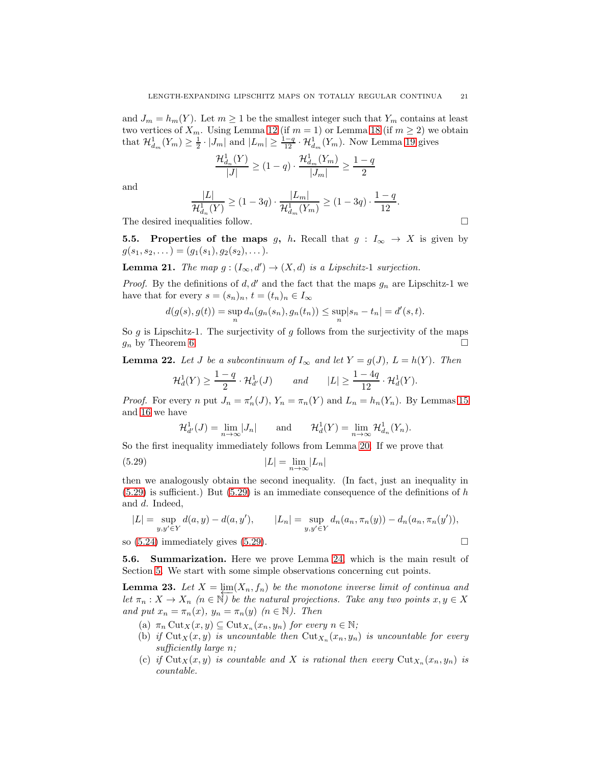and  $J_m = h_m(Y)$ . Let  $m \geq 1$  be the smallest integer such that  $Y_m$  contains at least two vertices of  $X_m$ . Using Lemma [12](#page-11-0) (if  $m = 1$ ) or Lemma [18](#page-18-0) (if  $m \geq 2$ ) we obtain that  $\mathcal{H}_{d_m}^1(Y_m) \geq \frac{1}{2} \cdot |J_m|$  and  $|L_m| \geq \frac{1-q}{12} \cdot \mathcal{H}_{d_m}^1(Y_m)$ . Now Lemma [19](#page-19-0) gives

$$
\frac{\mathcal{H}_{d_n}^1(Y)}{|J|} \ge (1-q) \cdot \frac{\mathcal{H}_{d_m}^1(Y_m)}{|J_m|} \ge \frac{1-q}{2}
$$

and

$$
\frac{|L|}{\mathcal{H}_{d_n}^1(Y)} \ge (1 - 3q) \cdot \frac{|L_m|}{\mathcal{H}_{d_m}^1(Y_m)} \ge (1 - 3q) \cdot \frac{1 - q}{12}.
$$

The desired inequalities follow.

**5.5. Properties of the maps** g, h. Recall that  $g: I_\infty \to X$  is given by  $g(s_1, s_2, \dots) = (g_1(s_1), g_2(s_2), \dots).$ 

<span id="page-20-1"></span>**Lemma 21.** The map  $g:(I_{\infty},d') \rightarrow (X,d)$  is a Lipschitz-1 surjection.

*Proof.* By the definitions of d, d' and the fact that the maps  $g_n$  are Lipschitz-1 we have that for every  $s = (s_n)_n$ ,  $t = (t_n)_n \in I_\infty$ 

$$
d(g(s), g(t)) = \sup_{n} d_n(g_n(s_n), g_n(t_n)) \le \sup_{n} |s_n - t_n| = d'(s, t).
$$

So q is Lipschitz-1. The surjectivity of q follows from the surjectivity of the maps  $g_n$  by Theorem [6.](#page-9-1)

<span id="page-20-2"></span>**Lemma 22.** Let J be a subcontinuum of  $I_{\infty}$  and let  $Y = g(J)$ ,  $L = h(Y)$ . Then

$$
\mathcal{H}_d^1(Y) \ge \frac{1-q}{2} \cdot \mathcal{H}_{d'}^1(J) \qquad \text{and} \qquad |L| \ge \frac{1-4q}{12} \cdot \mathcal{H}_d^1(Y).
$$

*Proof.* For every n put  $J_n = \pi'_n(J)$ ,  $Y_n = \pi_n(Y)$  and  $L_n = h_n(Y_n)$ . By Lemmas [15](#page-16-0) and [16](#page-17-0) we have

<span id="page-20-0"></span>
$$
\mathcal{H}_{d'}^1(J) = \lim_{n \to \infty} |J_n| \quad \text{and} \quad \mathcal{H}_d^1(Y) = \lim_{n \to \infty} \mathcal{H}_{d_n}^1(Y_n).
$$

So the first inequality immediately follows from Lemma [20.](#page-19-1) If we prove that

$$
|L| = \lim_{n \to \infty} |L_n|
$$

then we analogously obtain the second inequality. (In fact, just an inequality in  $(5.29)$  is sufficient.) But  $(5.29)$  is an immediate consequence of the definitions of h and d. Indeed,

$$
|L| = \sup_{y,y' \in Y} d(a,y) - d(a,y'), \qquad |L_n| = \sup_{y,y' \in Y} d_n(a_n, \pi_n(y)) - d_n(a_n, \pi_n(y')),
$$

so  $(5.24)$  immediately gives  $(5.29)$ .

5.6. Summarization. Here we prove Lemma [24,](#page-21-0) which is the main result of Section [5.](#page-10-1) We start with some simple observations concerning cut points.

<span id="page-20-3"></span>**Lemma 23.** Let  $X = \lim_{n \to \infty} (X_n, f_n)$  be the monotone inverse limit of continua and let  $\pi_n: X \to X_n$   $(n \in \mathbb{N})$  be the natural projections. Take any two points  $x, y \in X$ and put  $x_n = \pi_n(x)$ ,  $y_n = \pi_n(y)$   $(n \in \mathbb{N})$ . Then

- (a)  $\pi_n \text{Cut}_X(x, y) \subseteq \text{Cut}_{X_n}(x_n, y_n)$  for every  $n \in \mathbb{N}$ ;
- (b) if  $\text{Cut}_X(x, y)$  is uncountable then  $\text{Cut}_{X_n}(x_n, y_n)$  is uncountable for every sufficiently large n;
- (c) if  $\text{Cut}_X(x, y)$  is countable and X is rational then every  $\text{Cut}_{X_n}(x_n, y_n)$  is countable.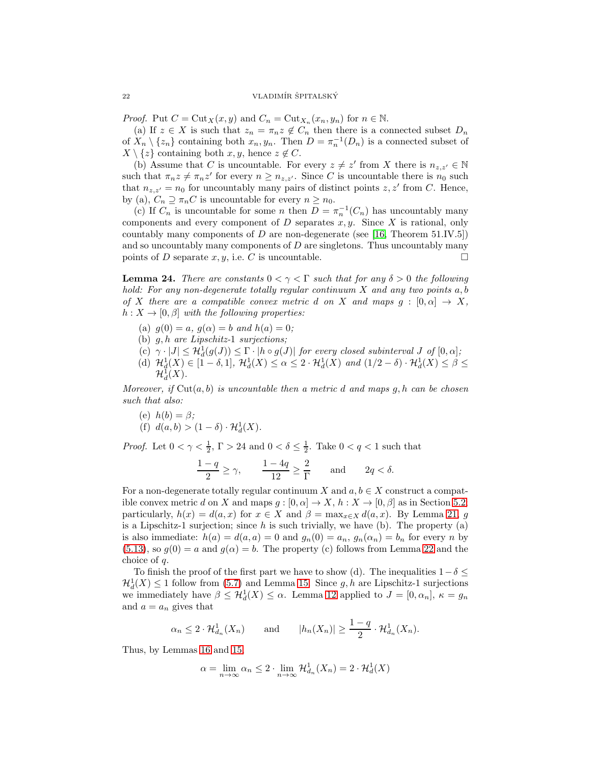*Proof.* Put  $C = \text{Cut}_X(x, y)$  and  $C_n = \text{Cut}_{X_n}(x_n, y_n)$  for  $n \in \mathbb{N}$ .

(a) If  $z \in X$  is such that  $z_n = \pi_n z \notin C_n$  then there is a connected subset  $D_n$ of  $X_n \setminus \{z_n\}$  containing both  $x_n, y_n$ . Then  $D = \pi_n^{-1}(D_n)$  is a connected subset of  $X \setminus \{z\}$  containing both  $x, y$ , hence  $z \notin C$ .

(b) Assume that C is uncountable. For every  $z \neq z'$  from X there is  $n_{z,z'} \in \mathbb{N}$ such that  $\pi_n z \neq \pi_n z'$  for every  $n \geq n_{z,z'}$ . Since C is uncountable there is  $n_0$  such that  $n_{z,z'} = n_0$  for uncountably many pairs of distinct points  $z, z'$  from C. Hence, by (a),  $C_n \supseteq \pi_n C$  is uncountable for every  $n \geq n_0$ .

(c) If  $C_n$  is uncountable for some n then  $D = \pi_n^{-1}(C_n)$  has uncountably many components and every component of  $D$  separates  $x, y$ . Since  $X$  is rational, only countably many components of D are non-degenerate (see [\[16,](#page-26-9) Theorem 51.IV.5]) and so uncountably many components of  $D$  are singletons. Thus uncountably many points of D separate x, y, i.e. C is uncountable.

<span id="page-21-0"></span>**Lemma 24.** There are constants  $0 < \gamma < \Gamma$  such that for any  $\delta > 0$  the following hold: For any non-degenerate totally regular continuum  $X$  and any two points  $a, b$ of X there are a compatible convex metric d on X and maps  $q : [0, \alpha] \rightarrow X$ .  $h: X \to [0, \beta]$  with the following properties:

- (a)  $g(0) = a, g(\alpha) = b \text{ and } h(a) = 0;$
- (b)  $g, h$  are Lipschitz-1 surjections;
- (c)  $\gamma \cdot |J| \leq \mathcal{H}_d^1(g(J)) \leq \Gamma \cdot |h \circ g(J)|$  for every closed subinterval J of  $[0, \alpha]$ ;
- (d)  $\mathcal{H}_d^1(X) \in [1-\delta,1], \, \mathcal{H}_d^1(X) \leq \alpha \leq 2 \cdot \mathcal{H}_d^1(X) \, \text{ and } (1/2-\delta) \cdot \mathcal{H}_d^1(X) \leq \beta \leq$  $\mathcal{H}^1_d(X).$

Moreover, if  $Cut(a, b)$  is uncountable then a metric d and maps q, h can be chosen such that also:

(e)  $h(b) = \beta$ ;

(f) 
$$
d(a, b) > (1 - \delta) \cdot \mathcal{H}_d^1(X)
$$
.

*Proof.* Let  $0 < \gamma < \frac{1}{2}$ ,  $\Gamma > 24$  and  $0 < \delta \leq \frac{1}{2}$ . Take  $0 < q < 1$  such that

$$
\frac{1-q}{2}\geq \gamma, \qquad \frac{1-4q}{12}\geq \frac{2}{\Gamma} \qquad \text{and} \qquad 2q<\delta.
$$

For a non-degenerate totally regular continuum X and  $a, b \in X$  construct a compatible convex metric d on X and maps  $g : [0, \alpha] \to X$ ,  $h : X \to [0, \beta]$  as in Section [5.2;](#page-12-4) particularly,  $h(x) = d(a, x)$  for  $x \in X$  and  $\beta = \max_{x \in X} d(a, x)$ . By Lemma [21,](#page-20-1) g is a Lipschitz-1 surjection; since  $h$  is such trivially, we have (b). The property (a) is also immediate:  $h(a) = d(a, a) = 0$  and  $g_n(0) = a_n$ ,  $g_n(\alpha_n) = b_n$  for every n by  $(5.13)$ , so  $g(0) = a$  and  $g(\alpha) = b$ . The property (c) follows from Lemma [22](#page-20-2) and the choice of q.

To finish the proof of the first part we have to show (d). The inequalities  $1-\delta \leq$  $\mathcal{H}_d^1(X) \leq 1$  follow from [\(5.7\)](#page-12-1) and Lemma [15.](#page-16-0) Since  $g, h$  are Lipschitz-1 surjections we immediately have  $\beta \leq \mathcal{H}_d^1(X) \leq \alpha$ . Lemma [12](#page-11-0) applied to  $J = [0, \alpha_n], \kappa = g_n$ and  $a = a_n$  gives that

$$
\alpha_n \leq 2 \cdot \mathcal{H}_{d_n}^1(X_n)
$$
 and  $|h_n(X_n)| \geq \frac{1-q}{2} \cdot \mathcal{H}_{d_n}^1(X_n)$ .

Thus, by Lemmas [16](#page-17-0) and [15,](#page-16-0)

$$
\alpha = \lim_{n \to \infty} \alpha_n \le 2 \cdot \lim_{n \to \infty} \mathcal{H}^1_{d_n}(X_n) = 2 \cdot \mathcal{H}^1_d(X)
$$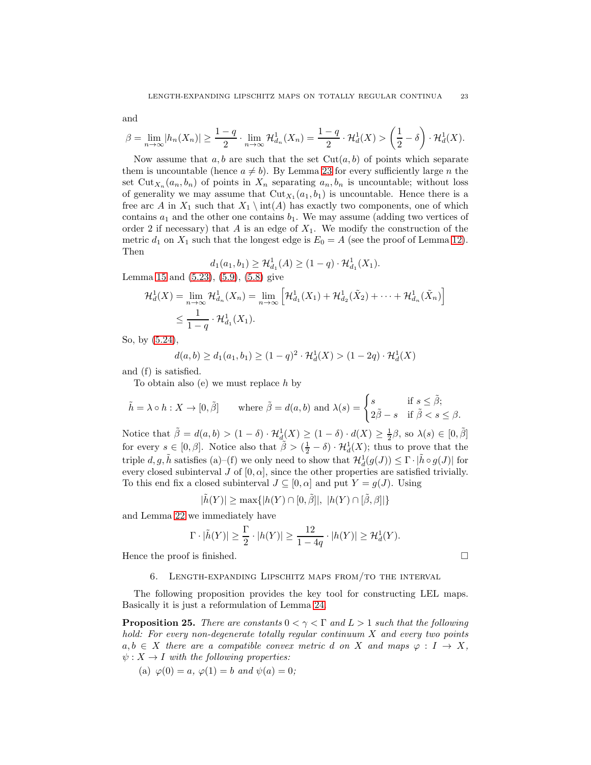$\beta = \lim_{n \to \infty} |h_n(X_n)| \ge \frac{1-q}{2} \cdot \lim_{n \to \infty} \mathcal{H}^1_{d_n}(X_n) = \frac{1-q}{2} \cdot \mathcal{H}^1_{d}(X) > \left(\frac{1}{2}\right)$  $\frac{1}{2}-\delta\bigg)\cdot\mathcal{H}^1_d(X).$ 

Now assume that  $a, b$  are such that the set  $Cut(a, b)$  of points which separate them is uncountable (hence  $a \neq b$ ). By Lemma [23](#page-20-3) for every sufficiently large n the set Cut<sub>X<sub>n</sub></sub> $(a_n, b_n)$  of points in X<sub>n</sub> separating  $a_n, b_n$  is uncountable; without loss of generality we may assume that  $Cut_{X_1}(a_1, b_1)$  is uncountable. Hence there is a free arc A in  $X_1$  such that  $X_1 \setminus \text{int}(A)$  has exactly two components, one of which contains  $a_1$  and the other one contains  $b_1$ . We may assume (adding two vertices of order 2 if necessary) that A is an edge of  $X_1$ . We modify the construction of the metric  $d_1$  on  $X_1$  such that the longest edge is  $E_0 = A$  (see the proof of Lemma [12\)](#page-11-0). Then

$$
d_1(a_1, b_1) \geq \mathcal{H}_{d_1}^1(A) \geq (1 - q) \cdot \mathcal{H}_{d_1}^1(X_1).
$$

Lemma [15](#page-16-0) and [\(5.23\)](#page-14-6), [\(5.9\)](#page-13-4), [\(5.8\)](#page-13-0) give

$$
\mathcal{H}_d^1(X) = \lim_{n \to \infty} \mathcal{H}_{d_n}^1(X_n) = \lim_{n \to \infty} \left[ \mathcal{H}_{d_1}^1(X_1) + \mathcal{H}_{d_2}^1(\tilde{X}_2) + \dots + \mathcal{H}_{d_n}^1(\tilde{X}_n) \right]
$$
  

$$
\leq \frac{1}{1-q} \cdot \mathcal{H}_{d_1}^1(X_1).
$$

So, by [\(5.24\)](#page-15-0),

$$
d(a,b) \ge d_1(a_1,b_1) \ge (1-q)^2 \cdot \mathcal{H}_d^1(X) > (1-2q) \cdot \mathcal{H}_d^1(X)
$$

and (f) is satisfied.

To obtain also (e) we must replace  $h$  by

$$
\tilde{h} = \lambda \circ h : X \to [0, \tilde{\beta}] \quad \text{where } \tilde{\beta} = d(a, b) \text{ and } \lambda(s) = \begin{cases} s & \text{if } s \leq \tilde{\beta}; \\ 2\tilde{\beta} - s & \text{if } \tilde{\beta} < s \leq \beta. \end{cases}
$$

Notice that  $\tilde{\beta} = d(a, b) > (1 - \delta) \cdot \mathcal{H}_d^1(X) \ge (1 - \delta) \cdot d(X) \ge \frac{1}{2}\beta$ , so  $\lambda(s) \in [0, \tilde{\beta}]$ for every  $s \in [0, \beta]$ . Notice also that  $\tilde{\beta} > (\frac{1}{2} - \delta) \cdot \mathcal{H}_d^1(X)$ ; thus to prove that the triple  $d, g, \tilde{h}$  satisfies (a)–(f) we only need to show that  $\mathcal{H}_d^1(g(J)) \leq \Gamma \cdot |\tilde{h} \circ g(J)|$  for every closed subinterval J of  $[0, \alpha]$ , since the other properties are satisfied trivially. To this end fix a closed subinterval  $J \subseteq [0, \alpha]$  and put  $Y = g(J)$ . Using

$$
|\tilde{h}(Y)| \ge \max\{|h(Y) \cap [0,\tilde{\beta}]|, |h(Y) \cap [\tilde{\beta},\beta]|\}
$$

and Lemma [22](#page-20-2) we immediately have

$$
\Gamma \cdot |\tilde{h}(Y)| \ge \frac{\Gamma}{2} \cdot |h(Y)| \ge \frac{12}{1-4q} \cdot |h(Y)| \ge \mathcal{H}_d^1(Y).
$$

<span id="page-22-0"></span>Hence the proof is finished.  $\Box$ 

6. Length-expanding Lipschitz maps from/to the interval

The following proposition provides the key tool for constructing LEL maps. Basically it is just a reformulation of Lemma [24.](#page-21-0)

<span id="page-22-1"></span>**Proposition 25.** There are constants  $0 < \gamma < \Gamma$  and  $L > 1$  such that the following hold: For every non-degenerate totally regular continuum X and every two points  $a, b \in X$  there are a compatible convex metric d on X and maps  $\varphi : I \to X$ ,  $\psi: X \to I$  with the following properties:

(a) 
$$
\varphi(0) = a
$$
,  $\varphi(1) = b$  and  $\psi(a) = 0$ ;

and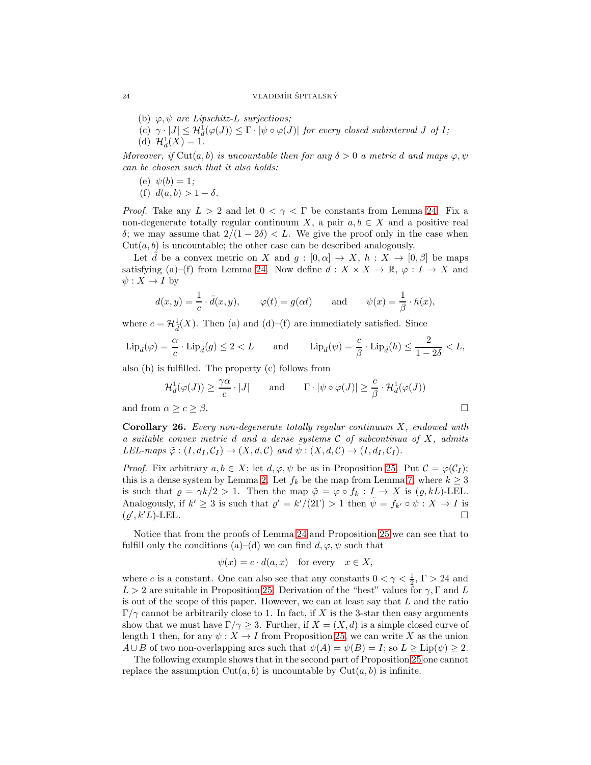- (b)  $\varphi, \psi$  are Lipschitz-L surjections;
- (c)  $\gamma \cdot |J| \leq \mathcal{H}_d^1(\varphi(J)) \leq \Gamma \cdot |\psi \circ \varphi(J)|$  for every closed subinterval J of I;
- (d)  $\mathcal{H}_d^1(X) = 1$ .

Moreover, if Cut(a, b) is uncountable then for any  $\delta > 0$  a metric d and maps  $\varphi, \psi$ can be chosen such that it also holds:

- (e)  $\psi(b) = 1;$
- (f)  $d(a, b) > 1 \delta$ .

*Proof.* Take any  $L > 2$  and let  $0 < \gamma < \Gamma$  be constants from Lemma [24.](#page-21-0) Fix a non-degenerate totally regular continuum X, a pair  $a, b \in X$  and a positive real δ; we may assume that  $2/(1-2\delta) < L$ . We give the proof only in the case when  $Cut(a, b)$  is uncountable; the other case can be described analogously.

Let d be a convex metric on X and  $g : [0, \alpha] \to X$ ,  $h : X \to [0, \beta]$  be maps satisfying (a)–(f) from Lemma [24.](#page-21-0) Now define  $d: X \times X \to \mathbb{R}, \varphi: I \to X$  and  $\psi: X \to I$  by

$$
d(x, y) = \frac{1}{c} \cdot \tilde{d}(x, y), \qquad \varphi(t) = g(\alpha t) \qquad \text{and} \qquad \psi(x) = \frac{1}{\beta} \cdot h(x),
$$

where  $c = \mathcal{H}^1_{\tilde{d}}(X)$ . Then (a) and (d)–(f) are immediately satisfied. Since

$$
\mathrm{Lip}_d(\varphi) = \frac{\alpha}{c} \cdot \mathrm{Lip}_{\tilde{d}}(g) \le 2 < L \quad \text{and} \quad \mathrm{Lip}_d(\psi) = \frac{c}{\beta} \cdot \mathrm{Lip}_{\tilde{d}}(h) \le \frac{2}{1 - 2\delta} < L,
$$

also (b) is fulfilled. The property (c) follows from

$$
\mathcal{H}_d^1(\varphi(J)) \ge \frac{\gamma \alpha}{c} \cdot |J| \quad \text{and} \quad \Gamma \cdot |\psi \circ \varphi(J)| \ge \frac{c}{\beta} \cdot \mathcal{H}_d^1(\varphi(J))
$$
  
and from  $\alpha \ge c \ge \beta$ .

<span id="page-23-0"></span>Corollary 26. Every non-degenerate totally regular continuum X, endowed with a suitable convex metric d and a dense systems  $\mathcal C$  of subcontinua of X, admits LEL-maps  $\tilde{\varphi}$  :  $(I, d_I, C_I) \to (X, d, C)$  and  $\psi$  :  $(X, d, C) \to (I, d_I, C_I)$ .

*Proof.* Fix arbitrary  $a, b \in X$ ; let  $d, \varphi, \psi$  be as in Proposition [25.](#page-22-1) Put  $\mathcal{C} = \varphi(\mathcal{C}_I)$ ; this is a dense system by Lemma [2.](#page-7-1) Let  $f_k$  be the map from Lemma [7,](#page-9-2) where  $k \geq 3$ is such that  $\varrho = \gamma k/2 > 1$ . Then the map  $\tilde{\varphi} = \varphi \circ f_k : I \to X$  is  $(\varrho, kL)$ -LEL. Analogously, if  $k' \geq 3$  is such that  $\varrho' = k'/(2\Gamma) > 1$  then  $\tilde{\psi} = f_{k'} \circ \psi : X \to I$  is  $(\varrho', k'L)$ -LEL.

Notice that from the proofs of Lemma [24](#page-21-0) and Proposition [25](#page-22-1) we can see that to fulfill only the conditions (a)–(d) we can find  $d, \varphi, \psi$  such that

$$
\psi(x) = c \cdot d(a, x) \quad \text{for every} \quad x \in X,
$$

where c is a constant. One can also see that any constants  $0 < \gamma < \frac{1}{2}$ ,  $\Gamma > 24$  and  $L > 2$  are suitable in Proposition [25.](#page-22-1) Derivation of the "best" values for  $\gamma$ , Γ and L is out of the scope of this paper. However, we can at least say that  $L$  and the ratio  $\Gamma/\gamma$  cannot be arbitrarily close to 1. In fact, if X is the 3-star then easy arguments show that we must have  $\Gamma/\gamma \geq 3$ . Further, if  $X = (X, d)$  is a simple closed curve of length 1 then, for any  $\psi : X \to I$  from Proposition [25,](#page-22-1) we can write X as the union  $A \cup B$  of two non-overlapping arcs such that  $\psi(A) = \psi(B) = I$ ; so  $L \geq \text{Lip}(\psi) \geq 2$ .

The following example shows that in the second part of Proposition [25](#page-22-1) one cannot replace the assumption  $Cut(a, b)$  is uncountable by  $Cut(a, b)$  is infinite.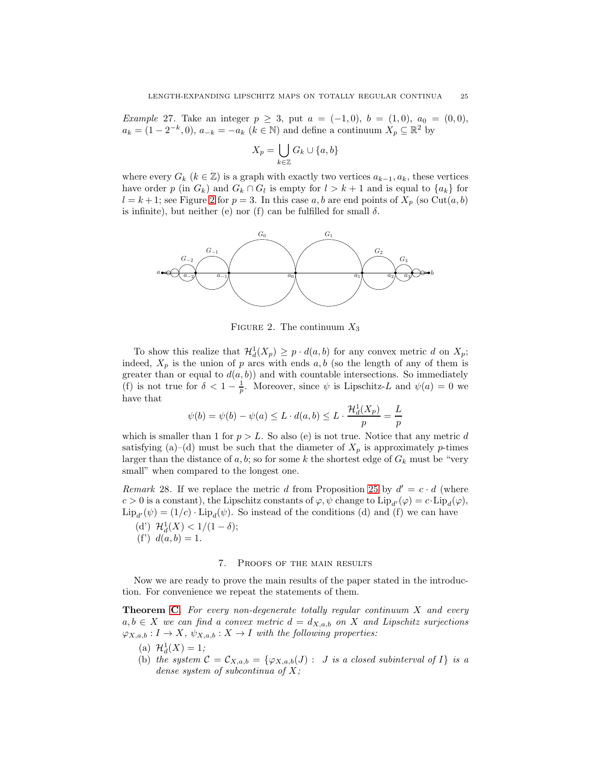Example 27. Take an integer  $p \geq 3$ , put  $a = (-1,0), b = (1,0), a_0 = (0,0),$  $a_k = (1 - 2^{-k}, 0), a_{-k} = -a_k$   $(k \in \mathbb{N})$  and define a continuum  $X_p \subseteq \mathbb{R}^2$  by

$$
X_p = \bigcup_{k \in \mathbb{Z}} G_k \cup \{a, b\}
$$

where every  $G_k$  ( $k \in \mathbb{Z}$ ) is a graph with exactly two vertices  $a_{k-1}, a_k$ , these vertices have order p (in  $G_k$ ) and  $G_k \cap G_l$  is empty for  $l > k+1$  and is equal to  $\{a_k\}$  for  $l = k + 1$ ; see Figure [2](#page-24-1) for  $p = 3$ . In this case a, b are end points of  $X_p$  (so Cut(a, b) is infinite), but neither (e) nor (f) can be fulfilled for small  $\delta$ .



<span id="page-24-1"></span>FIGURE 2. The continuum  $X_3$ 

To show this realize that  $\mathcal{H}_d^1(X_p) \geq p \cdot d(a, b)$  for any convex metric d on  $X_p$ ; indeed,  $X_p$  is the union of p arcs with ends a, b (so the length of any of them is greater than or equal to  $d(a, b)$  and with countable intersections. So immediately (f) is not true for  $\delta < 1 - \frac{1}{p}$ . Moreover, since  $\psi$  is Lipschitz-L and  $\psi(a) = 0$  we have that

$$
\psi(b) = \psi(b) - \psi(a) \le L \cdot d(a, b) \le L \cdot \frac{\mathcal{H}_d^1(X_p)}{p} = \frac{L}{p}
$$

which is smaller than 1 for  $p > L$ . So also (e) is not true. Notice that any metric d satisfying (a)–(d) must be such that the diameter of  $X_p$  is approximately p-times larger than the distance of a, b; so for some k the shortest edge of  $G_k$  must be "very small" when compared to the longest one.

Remark 28. If we replace the metric d from Proposition [25](#page-22-1) by  $d' = c \cdot d$  (where  $c > 0$  is a constant), the Lipschitz constants of  $\varphi, \psi$  change to  $\text{Lip}_{d'}(\varphi) = c \cdot \text{Lip}_{d}(\varphi)$ ,  $\text{Lip}_{d'}(\psi) = (1/c) \cdot \text{Lip}_{d}(\psi)$ . So instead of the conditions (d) and (f) we can have

(d')  $\mathcal{H}_d^1(X) < 1/(1-\delta);$ (f')  $d(a, b) = 1$ .

#### 7. Proofs of the main results

<span id="page-24-0"></span>Now we are ready to prove the main results of the paper stated in the introduction. For convenience we repeat the statements of them.

**Theorem [C.](#page-2-0)** For every non-degenerate totally regular continuum  $X$  and every  $a, b \in X$  we can find a convex metric  $d = d_{X,a,b}$  on X and Lipschitz surjections  $\varphi_{X,a,b}: I \to X$ ,  $\psi_{X,a,b}: X \to I$  with the following properties:

- (a)  $\mathcal{H}_d^1(X) = 1;$
- (b) the system  $C = C_{X,a,b} = \{ \varphi_{X,a,b}(J) : J \text{ is a closed subinterval of } I \}$  is a dense system of subcontinua of  $X$ ;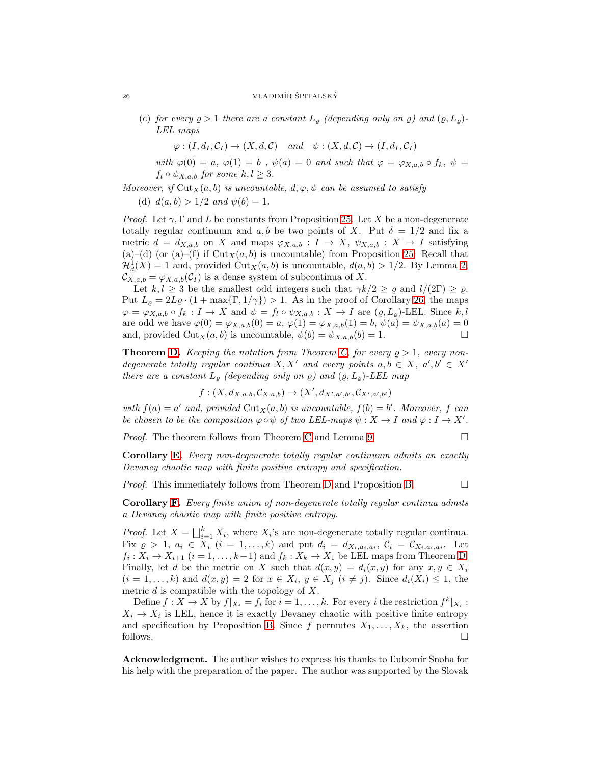#### 26 VLADIMÍR ŠPITALSKÝ

(c) for every  $\rho > 1$  there are a constant  $L_{\rho}$  (depending only on  $\rho$ ) and  $(\rho, L_{\rho})$ -LEL maps

 $\varphi: (I, d_I, C_I) \to (X, d, C)$  and  $\psi: (X, d, C) \to (I, d_I, C_I)$ 

with  $\varphi(0) = a, \varphi(1) = b$ ,  $\psi(a) = 0$  and such that  $\varphi = \varphi_{X,a,b} \circ f_k$ ,  $\psi = \varphi_{X,a}$  $f_l \circ \psi_{X,a,b}$  for some  $k, l \geq 3$ .

Moreover, if Cut<sub>X</sub>(a, b) is uncountable,  $d, \varphi, \psi$  can be assumed to satisfy

(d)  $d(a, b) > 1/2$  and  $\psi(b) = 1$ .

*Proof.* Let  $\gamma$ ,  $\Gamma$  and L be constants from Proposition [25.](#page-22-1) Let X be a non-degenerate totally regular continuum and a, b be two points of X. Put  $\delta = 1/2$  and fix a metric  $d = d_{X,a,b}$  on X and maps  $\varphi_{X,a,b} : I \to X$ ,  $\psi_{X,a,b} : X \to I$  satisfying (a)–(d) (or (a)–(f) if  $Cut_X(a, b)$  is uncountable) from Proposition [25.](#page-22-1) Recall that  $\mathcal{H}_d^1(X) = 1$  and, provided  $\text{Cut}_X(a, b)$  is uncountable,  $d(a, b) > 1/2$ . By Lemma [2,](#page-7-1)  $\mathcal{C}_{X,a,b} = \varphi_{X,a,b}(\mathcal{C}_I)$  is a dense system of subcontinua of X.

Let  $k, l \geq 3$  be the smallest odd integers such that  $\gamma k/2 \geq \varrho$  and  $l/(2\Gamma) \geq \varrho$ . Put  $L_{\varrho} = 2L\varrho \cdot (1 + \max\{\Gamma, 1/\gamma\}) > 1$ . As in the proof of Corollary [26,](#page-23-0) the maps  $\varphi = \varphi_{X,a,b} \circ f_k : I \to X$  and  $\psi = f_l \circ \psi_{X,a,b} : X \to I$  are  $(\varrho, L_\varrho)$ -LEL. Since  $k, l$ are odd we have  $\varphi(0) = \varphi_{X,a,b}(0) = a, \varphi(1) = \varphi_{X,a,b}(1) = b, \psi(a) = \psi_{X,a,b}(a) = 0$ and, provided Cut<sub>X</sub> $(a, b)$  is uncountable,  $\psi(b) = \psi_{X,a,b}(b) = 1.$ 

**Theorem [D.](#page-2-1)** Keeping the notation from Theorem [C,](#page-2-0) for every  $\rho > 1$ , every nondegenerate totally regular continua  $X, X'$  and every points  $a, b \in X$ ,  $a', b' \in X'$ there are a constant  $L_{\rho}$  (depending only on  $\rho$ ) and  $(\rho, L_{\rho})$ -LEL map

$$
f: (X, d_{X,a,b}, \mathcal{C}_{X,a,b}) \to (X', d_{X',a',b'}, \mathcal{C}_{X',a',b'})
$$

with  $f(a) = a'$  and, provided  $\text{Cut}_X(a, b)$  is uncountable,  $f(b) = b'$ . Moreover, f can be chosen to be the composition  $\varphi \circ \psi$  of two LEL-maps  $\psi : X \to I$  and  $\varphi : I \to X'$ .

*Proof.* The theorem follows from Theorem [C](#page-2-0) and Lemma [9.](#page-10-0)  $\Box$ 

Corollary [E.](#page-2-2) Every non-degenerate totally regular continuum admits an exactly Devaney chaotic map with finite positive entropy and specification.

*Proof.* This immediately follows from Theorem [D](#page-2-1) and Proposition [B.](#page-1-0)  $\Box$ 

Corollary [F.](#page-3-0) Every finite union of non-degenerate totally regular continua admits a Devaney chaotic map with finite positive entropy.

*Proof.* Let  $X = \bigsqcup_{i=1}^k X_i$ , where  $X_i$ 's are non-degenerate totally regular continua. Fix  $\rho > 1$ ,  $a_i \in X_i$   $(i = 1, \ldots, k)$  and put  $d_i = d_{X_i, a_i, a_i}$ ,  $C_i = C_{X_i, a_i, a_i}$ . Let  $f_i: X_i \to X_{i+1}$   $(i = 1, \ldots, k-1)$  and  $f_k: X_k \to X_1$  be LEL maps from Theorem [D.](#page-2-1) Finally, let d be the metric on X such that  $d(x, y) = d_i(x, y)$  for any  $x, y \in X_i$  $(i = 1, \ldots, k)$  and  $d(x, y) = 2$  for  $x \in X_i$ ,  $y \in X_j$   $(i \neq j)$ . Since  $d_i(X_i) \leq 1$ , the metric  $d$  is compatible with the topology of  $X$ .

Define  $f: X \to X$  by  $f|_{X_i} = f_i$  for  $i = 1, ..., k$ . For every i the restriction  $f^k|_{X_i}$ :  $X_i \to X_i$  is LEL, hence it is exactly Devaney chaotic with positive finite entropy and specification by Proposition [B.](#page-1-0) Since f permutes  $X_1, \ldots, X_k$ , the assertion follows.  $\Box$ 

Acknowledgment. The author wishes to express his thanks to L'ubomír Snoha for his help with the preparation of the paper. The author was supported by the Slovak